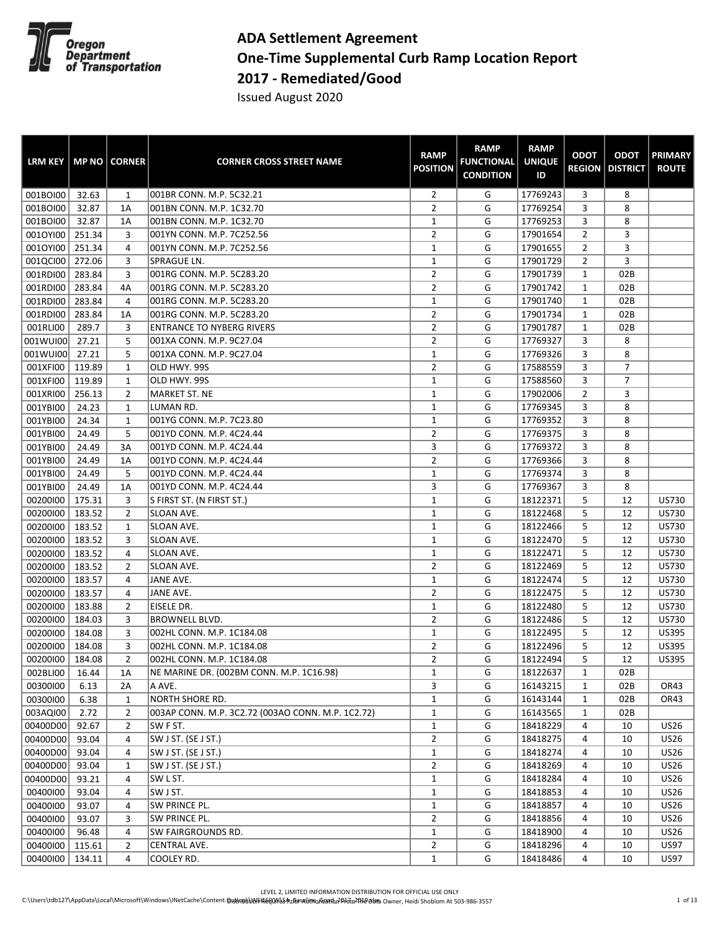

## **ADA Settlement Agreement One-Time Supplemental Curb Ramp Location Report 2017 - Remediated/Good**

Issued August 2020

| <b>LRM KEY</b> |        | <b>MP NO   CORNER</b> | <b>CORNER CROSS STREET NAME</b>                   | <b>RAMP</b><br><b>POSITION</b> | <b>RAMP</b><br><b>FUNCTIONAL</b><br><b>CONDITION</b> | <b>RAMP</b><br><b>UNIQUE</b><br>ID | <b>ODOT</b>    | <b>ODOT</b><br><b>REGION   DISTRICT</b> | <b>PRIMARY</b><br><b>ROUTE</b> |
|----------------|--------|-----------------------|---------------------------------------------------|--------------------------------|------------------------------------------------------|------------------------------------|----------------|-----------------------------------------|--------------------------------|
| 001BOI00       | 32.63  | 1                     | 001BR CONN. M.P. 5C32.21                          | $\overline{2}$                 | G                                                    | 17769243                           | 3              | 8                                       |                                |
| 001BOI00       | 32.87  | 1A                    | 001BN CONN. M.P. 1C32.70                          | $\overline{2}$                 | G                                                    | 17769254                           | 3              | 8                                       |                                |
| 001BOI00       | 32.87  | 1A                    | 001BN CONN. M.P. 1C32.70                          | $\mathbf{1}$                   | G                                                    | 17769253                           | 3              | 8                                       |                                |
| 001OYI00       | 251.34 | 3                     | 001YN CONN. M.P. 7C252.56                         | $\overline{2}$                 | G                                                    | 17901654                           | $\overline{2}$ | 3                                       |                                |
| 001OYI00       | 251.34 | 4                     | 001YN CONN. M.P. 7C252.56                         | 1                              | G                                                    | 17901655                           | $\overline{2}$ | 3                                       |                                |
| 001QCI00       | 272.06 | 3                     | SPRAGUE LN.                                       | 1                              | G                                                    | 17901729                           | $\overline{2}$ | 3                                       |                                |
| 001RDI00       | 283.84 | 3                     | 001RG CONN. M.P. 5C283.20                         | $\overline{2}$                 | G                                                    | 17901739                           | $\mathbf{1}$   | 02B                                     |                                |
| 001RDI00       | 283.84 | 4A                    | 001RG CONN. M.P. 5C283.20                         | $\overline{2}$                 | G                                                    | 17901742                           | $\mathbf{1}$   | 02B                                     |                                |
| 001RDI00       | 283.84 | 4                     | 001RG CONN. M.P. 5C283.20                         | $\mathbf{1}$                   | G                                                    | 17901740                           | $\mathbf{1}$   | 02B                                     |                                |
| 001RDI00       | 283.84 | 1A                    | 001RG CONN. M.P. 5C283.20                         | $\overline{2}$                 | G                                                    | 17901734                           | $\mathbf{1}$   | 02B                                     |                                |
| 001RLI00       | 289.7  | 3                     | <b>ENTRANCE TO NYBERG RIVERS</b>                  | $\overline{2}$                 | G                                                    | 17901787                           | $\mathbf{1}$   | 02B                                     |                                |
| 001WUI00       | 27.21  | 5                     | 001XA CONN. M.P. 9C27.04                          | $\overline{2}$                 | G                                                    | 17769327                           | 3              | 8                                       |                                |
| 001WUI00       | 27.21  | 5                     | 001XA CONN. M.P. 9C27.04                          | 1                              | G                                                    | 17769326                           | 3              | 8                                       |                                |
| 001XFI00       | 119.89 | 1                     | OLD HWY. 99S                                      | $\overline{2}$                 | G                                                    | 17588559                           | 3              | $\overline{7}$                          |                                |
| 001XFI00       | 119.89 | $\mathbf{1}$          | OLD HWY. 99S                                      | $\mathbf{1}$                   | G                                                    | 17588560                           | 3              | 7                                       |                                |
| 001XRI00       | 256.13 | $\overline{2}$        | MARKET ST. NE                                     | $\mathbf{1}$                   | G                                                    | 17902006                           | $\overline{2}$ | 3                                       |                                |
| 001YBI00       | 24.23  | $\mathbf{1}$          | LUMAN RD.                                         | $\mathbf 1$                    | G                                                    | 17769345                           | 3              | 8                                       |                                |
| 001YBI00       | 24.34  | 1                     | 001YG CONN. M.P. 7C23.80                          | $\mathbf{1}$                   | G                                                    | 17769352                           | 3              | 8                                       |                                |
| 001YBI00       | 24.49  | 5                     | 001YD CONN. M.P. 4C24.44                          | $\overline{2}$                 | G                                                    | 17769375                           | 3              | 8                                       |                                |
| 001YBI00       | 24.49  | 3A                    | 001YD CONN. M.P. 4C24.44                          | 3                              | G                                                    | 17769372                           | 3              | 8                                       |                                |
| 001YBI00       | 24.49  | 1A                    | 001YD CONN. M.P. 4C24.44                          | $\overline{2}$                 | G                                                    | 17769366                           | 3              | 8                                       |                                |
| 001YBI00       | 24.49  | 5                     | 001YD CONN. M.P. 4C24.44                          | 1                              | G                                                    | 17769374                           | 3              | 8                                       |                                |
| 001YBI00       | 24.49  | 1A                    | 001YD CONN. M.P. 4C24.44                          | 3                              | G                                                    | 17769367                           | 3              | 8                                       |                                |
| 00200100       | 175.31 | 3                     | S FIRST ST. (N FIRST ST.)                         | $\mathbf{1}$                   | G                                                    | 18122371                           | 5              | 12                                      | US730                          |
| 00200100       | 183.52 | $\overline{2}$        | SLOAN AVE.                                        | $\mathbf{1}$                   | G                                                    | 18122468                           | 5              | 12                                      | US730                          |
| 00200100       | 183.52 | 1                     | SLOAN AVE.                                        | $\mathbf 1$                    | G                                                    | 18122466                           | 5              | 12                                      | US730                          |
| 00200100       | 183.52 | 3                     | SLOAN AVE.                                        | 1                              | G                                                    | 18122470                           | 5              | 12                                      | US730                          |
| 00200100       | 183.52 | 4                     | SLOAN AVE.                                        | $\mathbf{1}$                   | G                                                    | 18122471                           | 5              | 12                                      | US730                          |
| 00200100       | 183.52 | $\overline{2}$        | SLOAN AVE.                                        | $\overline{2}$                 | G                                                    | 18122469                           | 5              | 12                                      | US730                          |
| 00200100       | 183.57 | 4                     | JANE AVE.                                         | 1                              | G                                                    | 18122474                           | 5              | 12                                      | US730                          |
| 00200100       | 183.57 | 4                     | JANE AVE.                                         | $\overline{2}$                 | G                                                    | 18122475                           | 5              | 12                                      | US730                          |
| 00200100       | 183.88 | $\overline{2}$        | EISELE DR.                                        | $\mathbf{1}$                   | G                                                    | 18122480                           | 5              | 12                                      | US730                          |
| 00200100       | 184.03 | 3                     | <b>BROWNELL BLVD.</b>                             | $\overline{2}$                 | G                                                    | 18122486                           | 5              | 12                                      | US730                          |
| 00200100       | 184.08 | 3                     | 002HL CONN. M.P. 1C184.08                         | $\mathbf{1}$                   | G                                                    | 18122495                           | 5              | 12                                      | <b>US395</b>                   |
| 00200100       | 184.08 | 3                     | 002HL CONN. M.P. 1C184.08                         | $\overline{2}$                 | G                                                    | 18122496                           | 5              | 12                                      | <b>US395</b>                   |
| 00200100       | 184.08 | $\overline{2}$        | 002HL CONN. M.P. 1C184.08                         | $\overline{2}$                 | G                                                    | 18122494                           | 5              | 12                                      | <b>US395</b>                   |
| 002BLI00       | 16.44  | 1A                    | NE MARINE DR. (002BM CONN. M.P. 1C16.98)          | 1                              | G                                                    | 18122637                           | 1              | 02B                                     |                                |
| 00300100       | 6.13   | 2A                    | A AVE.                                            | 3                              | G                                                    | 16143215                           | $\mathbf{1}$   | 02B                                     | OR43                           |
| 00300100       | 6.38   | $\mathbf{1}$          | NORTH SHORE RD.                                   | $\mathbf{1}$                   | G                                                    | 16143144                           | 1              | 02B                                     | OR43                           |
| 003AQI00       | 2.72   | $\overline{2}$        | 003AP CONN. M.P. 3C2.72 (003AO CONN. M.P. 1C2.72) | $\mathbf{1}$                   | G                                                    | 16143565                           | $\mathbf{1}$   | 02B                                     |                                |
| 00400D00       | 92.67  | $\overline{2}$        | SW F ST.                                          | $\mathbf{1}$                   | G                                                    | 18418229                           | 4              | 10                                      | <b>US26</b>                    |
| 00400D00       | 93.04  | 4                     | SW J ST. (SE J ST.)                               | $\overline{2}$                 | G                                                    | 18418275                           | 4              | 10                                      | <b>US26</b>                    |
| 00400D00       | 93.04  | 4                     | SW J ST. (SE J ST.)                               | $\mathbf{1}$                   | G                                                    | 18418274                           | 4              | 10                                      | <b>US26</b>                    |
| 00400D00       | 93.04  | 1                     | SW J ST. (SE J ST.)                               | $\overline{2}$                 | G                                                    | 18418269                           | 4              | 10                                      | <b>US26</b>                    |
| 00400D00       | 93.21  | $\overline{4}$        | SW L ST.                                          | $\mathbf{1}$                   | G                                                    | 18418284                           | 4              | 10                                      | <b>US26</b>                    |
| 00400100       | 93.04  | 4                     | SW J ST.                                          | $\mathbf{1}$                   | G                                                    | 18418853                           | 4              | 10                                      | <b>US26</b>                    |
| 00400100       | 93.07  | 4                     | SW PRINCE PL.                                     | $\mathbf{1}$                   | G                                                    | 18418857                           | 4              | 10                                      | US26                           |
| 00400100       | 93.07  | 3                     | SW PRINCE PL.                                     | $\overline{2}$                 | G                                                    | 18418856                           | 4              | 10                                      | <b>US26</b>                    |
| 00400100       | 96.48  | $\overline{4}$        | SW FAIRGROUNDS RD.                                | $\mathbf{1}$                   | G                                                    | 18418900                           | 4              | 10                                      | <b>US26</b>                    |
| 00400100       | 115.61 | 2                     | CENTRAL AVE.                                      | $\overline{2}$                 | G                                                    | 18418296                           | 4              | 10                                      | <b>US97</b>                    |
| 00400100       | 134.11 | 4                     | COOLEY RD.                                        | $\mathbf{1}$                   | G                                                    | 18418486                           | 4              | 10                                      | <b>US97</b>                    |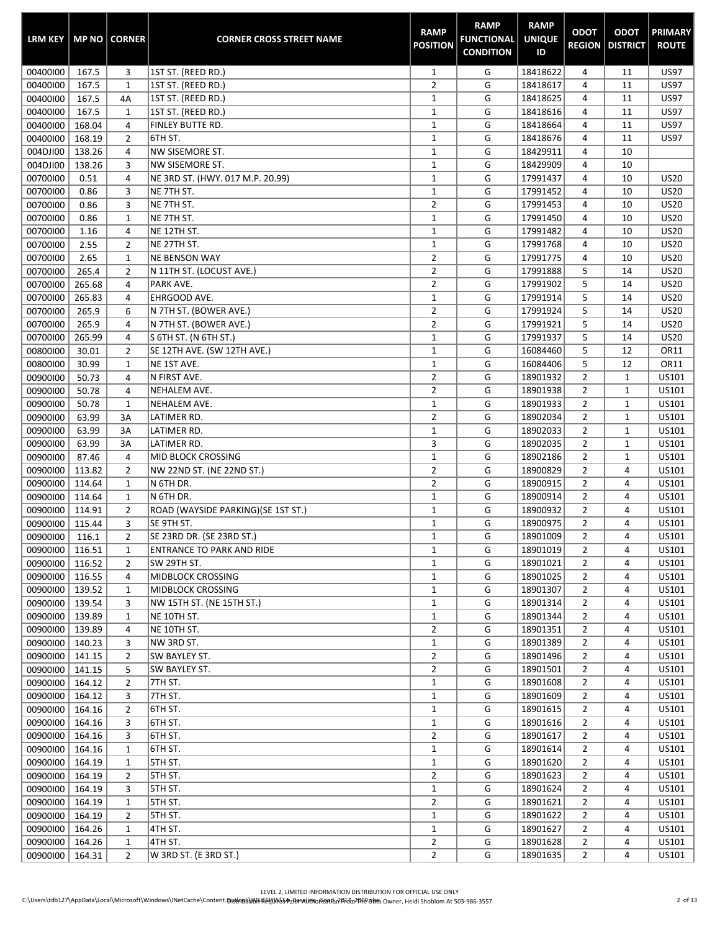| <b>LRM KEY</b> |        | <b>MP NO   CORNER</b> | <b>CORNER CROSS STREET NAME</b>    | <b>RAMP</b><br><b>POSITION</b> | <b>RAMP</b><br><b>FUNCTIONAL</b><br><b>CONDITION</b> | <b>RAMP</b><br><b>UNIQUE</b><br>ID | <b>ODOT</b>    | <b>ODOT</b><br><b>REGION   DISTRICT</b> | <b>PRIMARY</b><br><b>ROUTE</b> |
|----------------|--------|-----------------------|------------------------------------|--------------------------------|------------------------------------------------------|------------------------------------|----------------|-----------------------------------------|--------------------------------|
| 00400100       | 167.5  | 3                     | 1ST ST. (REED RD.)                 | $\mathbf{1}$                   | G                                                    | 18418622                           | 4              | 11                                      | <b>US97</b>                    |
| 00400100       | 167.5  | $\mathbf{1}$          | 1ST ST. (REED RD.)                 | $\overline{2}$                 | G                                                    | 18418617                           | 4              | 11                                      | <b>US97</b>                    |
| 00400100       | 167.5  | 4A                    | 1ST ST. (REED RD.)                 | $\mathbf 1$                    | G                                                    | 18418625                           | 4              | 11                                      | <b>US97</b>                    |
| 00400100       | 167.5  | 1                     | 1ST ST. (REED RD.)                 | $\mathbf 1$                    | G                                                    | 18418616                           | 4              | 11                                      | <b>US97</b>                    |
| 00400100       | 168.04 | 4                     | FINLEY BUTTE RD.                   | $\mathbf 1$                    | G                                                    | 18418664                           | 4              | 11                                      | <b>US97</b>                    |
| 00400100       | 168.19 | $\overline{2}$        | 6TH ST.                            | $\mathbf{1}$                   | G                                                    | 18418676                           | 4              | 11                                      | <b>US97</b>                    |
| 004DJI00       | 138.26 | $\overline{4}$        | NW SISEMORE ST.                    | $\mathbf 1$                    | G                                                    | 18429911                           | 4              | 10                                      |                                |
| 004DJI00       | 138.26 | 3                     | <b>NW SISEMORE ST.</b>             | $\mathbf 1$                    | G                                                    | 18429909                           | 4              | 10                                      |                                |
| 00700100       | 0.51   | 4                     | NE 3RD ST. (HWY. 017 M.P. 20.99)   | $\mathbf 1$                    | G                                                    | 17991437                           | 4              | 10                                      | <b>US20</b>                    |
| 00700100       | 0.86   | 3                     | NE 7TH ST.                         | $\mathbf 1$                    | G                                                    | 17991452                           | 4              | 10                                      | <b>US20</b>                    |
| 00700100       | 0.86   | 3                     | NE 7TH ST.                         | $\overline{2}$                 | G                                                    | 17991453                           | 4              | 10                                      | <b>US20</b>                    |
| 00700100       | 0.86   | $\mathbf{1}$          | NE 7TH ST.                         | $\mathbf 1$                    | G                                                    | 17991450                           | 4              | 10                                      | <b>US20</b>                    |
| 00700100       | 1.16   | 4                     | NE 12TH ST.                        | $\mathbf 1$                    | G                                                    | 17991482                           | 4              | 10                                      | <b>US20</b>                    |
| 00700100       | 2.55   | $\overline{2}$        | NE 27TH ST.                        | $\mathbf 1$                    | G                                                    | 17991768                           | 4              | 10                                      | <b>US20</b>                    |
| 00700100       | 2.65   | $\mathbf{1}$          | <b>NE BENSON WAY</b>               | $\overline{2}$                 | G                                                    | 17991775                           | 4              | 10                                      | <b>US20</b>                    |
| 00700100       | 265.4  | $\overline{2}$        | N 11TH ST. (LOCUST AVE.)           | $\overline{2}$                 | G                                                    | 17991888                           | 5              | 14                                      | <b>US20</b>                    |
| 00700100       | 265.68 | 4                     | PARK AVE.                          | $\overline{2}$                 | G                                                    | 17991902                           | 5              | 14                                      | <b>US20</b>                    |
| 00700100       | 265.83 | 4                     | EHRGOOD AVE.                       | $\mathbf{1}$                   | G                                                    | 17991914                           | 5              | 14                                      | <b>US20</b>                    |
| 00700100       | 265.9  | 6                     | N 7TH ST. (BOWER AVE.)             | $\overline{2}$                 | G                                                    | 17991924                           | 5              | 14                                      | <b>US20</b>                    |
| 00700100       | 265.9  | 4                     | N 7TH ST. (BOWER AVE.)             | $\overline{2}$                 | G                                                    | 17991921                           | 5              | 14                                      | <b>US20</b>                    |
| 00700100       | 265.99 | 4                     | S 6TH ST. (N 6TH ST.)              | $\mathbf 1$                    | G                                                    | 17991937                           | 5              | 14                                      | <b>US20</b>                    |
| 00800100       | 30.01  | $\overline{2}$        | SE 12TH AVE. (SW 12TH AVE.)        | $\mathbf 1$                    | G                                                    | 16084460                           | 5              | 12                                      | OR11                           |
| 00800100       | 30.99  | $\mathbf{1}$          | NE 1ST AVE.                        | $\mathbf{1}$                   | G                                                    | 16084406                           | 5              | 12                                      | OR11                           |
| 00900100       | 50.73  | 4                     | N FIRST AVE.                       | $\overline{2}$                 | G                                                    | 18901932                           | $\overline{2}$ | $\mathbf 1$                             | US101                          |
| 00900100       | 50.78  | 4                     | <b>NEHALEM AVE.</b>                | $\overline{2}$                 | G                                                    | 18901938                           | $\overline{2}$ | $\mathbf{1}$                            | US101                          |
| 00900100       | 50.78  | $\mathbf 1$           | NEHALEM AVE.                       | $\mathbf 1$                    | G                                                    | 18901933                           | $\overline{2}$ | $\mathbf{1}$                            | US101                          |
| 00900100       | 63.99  | 3A                    | LATIMER RD.                        | $\overline{2}$                 | G                                                    | 18902034                           | $\overline{2}$ | $\mathbf{1}$                            | US101                          |
| 00900100       | 63.99  | 3A                    | LATIMER RD.                        | $\mathbf{1}$                   | G                                                    | 18902033                           | $\overline{2}$ | 1                                       | US101                          |
| 00900100       | 63.99  | 3A                    | LATIMER RD.                        | 3                              | G                                                    | 18902035                           | 2              | 1                                       | US101                          |
| 00900100       | 87.46  | 4                     | MID BLOCK CROSSING                 | $\mathbf 1$                    | G                                                    | 18902186                           | $\overline{2}$ | 1                                       | US101                          |
| 00900100       | 113.82 | $\overline{2}$        | NW 22ND ST. (NE 22ND ST.)          | $\overline{2}$                 | G                                                    | 18900829                           | $\overline{2}$ | 4                                       | US101                          |
| 00900100       | 114.64 | $\mathbf{1}$          | N 6TH DR.                          | $\overline{2}$                 | G                                                    | 18900915                           | $\overline{2}$ | 4                                       | US101                          |
| 00900100       | 114.64 | $\mathbf{1}$          | N 6TH DR.                          | $\mathbf 1$                    | G                                                    | 18900914                           | $\overline{2}$ | 4                                       | US101                          |
| 00900100       | 114.91 | 2                     | ROAD (WAYSIDE PARKING)(SE 1ST ST.) | $\mathbf{1}$                   | G                                                    | 18900932                           | $\overline{2}$ | 4                                       | US101                          |
| 00900100       | 115.44 | 3                     | SE 9TH ST.                         | $\mathbf 1$                    | G                                                    | 18900975                           | $\overline{2}$ | 4                                       | US101                          |
| 00900100       | 116.1  | $\overline{2}$        | SE 23RD DR. (SE 23RD ST.)          | $\mathbf{1}$                   | G                                                    | 18901009                           | $\overline{2}$ | 4                                       | US101                          |
| 00900100       | 116.51 | 1                     | <b>ENTRANCE TO PARK AND RIDE</b>   | $\mathbf{1}$                   | G                                                    | 18901019                           | 2              | 4                                       | US101                          |
| 00900100       | 116.52 | 2                     | SW 29TH ST.                        | $\mathbf{1}$                   | G                                                    | 18901021                           | 2              | 4                                       | US101                          |
| 00900100       | 116.55 | 4                     | MIDBLOCK CROSSING                  | $\mathbf{1}$                   | G                                                    | 18901025                           | $\overline{2}$ | 4                                       | US101                          |
| 00900100       | 139.52 | $\mathbf{1}$          | <b>MIDBLOCK CROSSING</b>           | $\mathbf{1}$                   | G                                                    | 18901307                           | $\overline{2}$ | 4                                       | US101                          |
| 00900100       | 139.54 | 3                     | NW 15TH ST. (NE 15TH ST.)          | $\mathbf{1}$                   | G                                                    | 18901314                           | $\overline{2}$ | 4                                       | US101                          |
| 00900100       | 139.89 | 1                     | NE 10TH ST.                        | $\mathbf{1}$                   | G                                                    | 18901344                           | $\overline{2}$ | 4                                       | US101                          |
| 00900100       | 139.89 | 4                     | NE 10TH ST.                        | $\overline{2}$                 | G                                                    | 18901351                           | $\overline{2}$ | 4                                       | US101                          |
| 00900100       | 140.23 | 3                     | NW 3RD ST.                         | $\mathbf{1}$                   | G                                                    | 18901389                           | $\overline{2}$ | 4                                       | US101                          |
| 00900100       | 141.15 | 2                     | SW BAYLEY ST.                      | $\overline{2}$                 | G                                                    | 18901496                           | 2              | 4                                       | US101                          |
| 00900100       | 141.15 | 5                     | SW BAYLEY ST.                      | $\overline{2}$                 | G                                                    | 18901501                           | $\overline{2}$ | 4                                       | US101                          |
| 00900100       | 164.12 | $\overline{2}$        | 7TH ST.                            | $\mathbf{1}$                   | G                                                    | 18901608                           | $\overline{2}$ | 4                                       | US101                          |
| 00900100       | 164.12 | 3                     | 7TH ST.                            | $\mathbf{1}$                   | G                                                    | 18901609                           | $\overline{2}$ | 4                                       | US101                          |
| 00900100       | 164.16 | $\overline{2}$        | 6TH ST.                            | $\mathbf{1}$                   | G                                                    | 18901615                           | $\overline{2}$ | 4                                       | US101                          |
| 00900100       | 164.16 | 3                     | 6TH ST.                            | $\mathbf 1$                    | G                                                    | 18901616                           | $\overline{2}$ | 4                                       | US101                          |
| 00900100       | 164.16 | 3                     | 6TH ST.                            | $\overline{2}$                 | G                                                    | 18901617                           | $\overline{2}$ | 4                                       | US101                          |
| 00900100       | 164.16 | 1                     | 6TH ST.                            | $\mathbf{1}$                   | G                                                    | 18901614                           | $\overline{2}$ | 4                                       | US101                          |
| 00900100       | 164.19 | $\mathbf{1}$          | 5TH ST.                            | $\mathbf{1}$                   | G                                                    | 18901620                           | 2              | 4                                       | US101                          |
| 00900100       | 164.19 | 2                     | 5TH ST.                            | $\overline{2}$                 | G                                                    | 18901623                           | 2              | 4                                       | US101                          |
| 00900100       | 164.19 | 3                     | 5TH ST.                            | $\mathbf{1}$                   | G                                                    | 18901624                           | $\overline{2}$ | 4                                       | US101                          |
| 00900100       | 164.19 | $\mathbf{1}$          | 5TH ST.                            | $\overline{2}$                 | G                                                    | 18901621                           | $\overline{2}$ | 4                                       | US101                          |
| 00900100       | 164.19 | $\overline{2}$        | 5TH ST.                            | $\mathbf{1}$                   | G                                                    | 18901622                           | $\overline{2}$ | 4                                       | US101                          |
| 00900100       | 164.26 | $\mathbf{1}$          | 4TH ST.                            | $\mathbf{1}$                   | G                                                    | 18901627                           | $\overline{2}$ | 4                                       | US101                          |
| 00900100       | 164.26 | 1                     | 4TH ST.                            | $\overline{2}$                 | G                                                    | 18901628                           | $\overline{2}$ | 4                                       | US101                          |
| 00900100       | 164.31 | $\overline{2}$        | W 3RD ST. (E 3RD ST.)              | $\overline{2}$                 | G                                                    | 18901635                           | $\overline{2}$ | 4                                       | US101                          |

н.

œ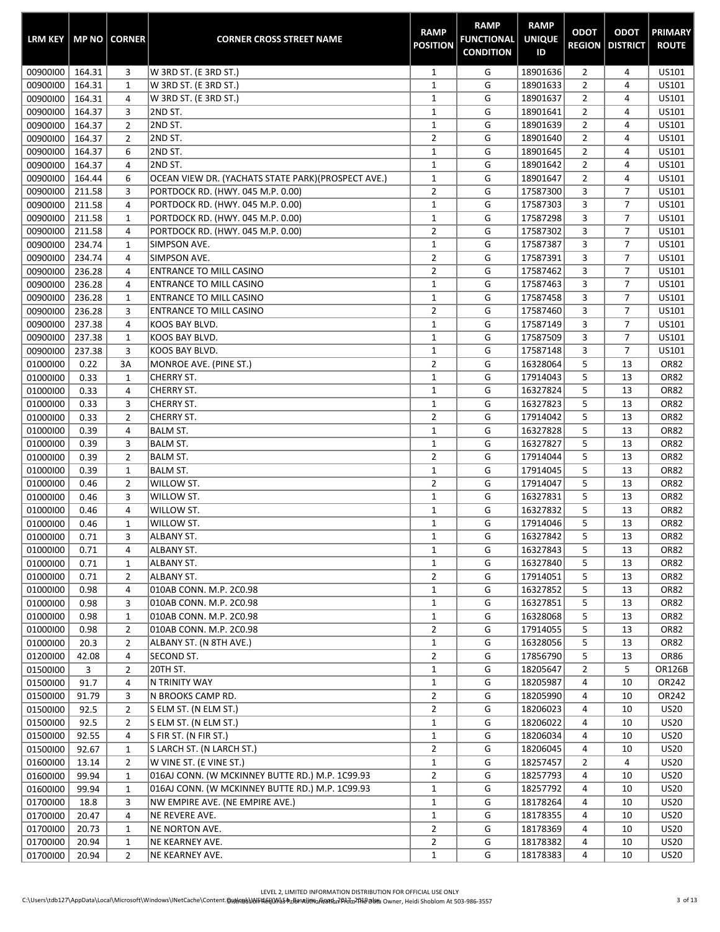| <b>LRM KEY</b>       |                  | <b>MP NO   CORNER</b>            | <b>CORNER CROSS STREET NAME</b>                     | <b>RAMP</b><br><b>POSITION</b> | <b>RAMP</b><br><b>FUNCTIONAL</b><br><b>CONDITION</b> | <b>RAMP</b><br><b>UNIQUE</b><br>ID | <b>ODOT</b><br><b>REGION  </b> | <b>ODOT</b><br><b>DISTRICT</b> | <b>PRIMARY</b><br><b>ROUTE</b> |
|----------------------|------------------|----------------------------------|-----------------------------------------------------|--------------------------------|------------------------------------------------------|------------------------------------|--------------------------------|--------------------------------|--------------------------------|
| 00900100             | 164.31           | 3                                | W 3RD ST. (E 3RD ST.)                               | 1                              | G                                                    | 18901636                           | $\overline{2}$                 | 4                              | US101                          |
| 00900100             | 164.31           | $\mathbf{1}$                     | W 3RD ST. (E 3RD ST.)                               | $\mathbf 1$                    | G                                                    | 18901633                           | $\overline{2}$                 | 4                              | US101                          |
| 00900100             | 164.31           | 4                                | W 3RD ST. (E 3RD ST.)                               | $\mathbf 1$                    | G                                                    | 18901637                           | $\overline{2}$                 | 4                              | US101                          |
| 00900100             | 164.37           | 3                                | 2ND ST.                                             | $\mathbf 1$                    | G                                                    | 18901641                           | $\overline{2}$                 | 4                              | US101                          |
| 00900100             | 164.37           | $\overline{2}$                   | 2ND ST.                                             | $\mathbf 1$                    | G                                                    | 18901639                           | $\overline{2}$                 | 4                              | US101                          |
| 00900100             | 164.37           | $\overline{2}$                   | 2ND ST.                                             | $\overline{2}$                 | G                                                    | 18901640                           | $\overline{2}$                 | 4                              | US101                          |
| 00900100             | 164.37           | 6                                | 2ND ST.                                             | $\mathbf{1}$                   | G                                                    | 18901645                           | $\overline{2}$                 | 4                              | US101                          |
| 00900100             | 164.37           | 4                                | 2ND ST.                                             | $\mathbf{1}$                   | G                                                    | 18901642                           | $\overline{2}$                 | 4                              | US101                          |
| 00900100             | 164.44           | 6                                | OCEAN VIEW DR. (YACHATS STATE PARK) (PROSPECT AVE.) | $\mathbf 1$                    | G                                                    | 18901647                           | $\overline{2}$                 | 4                              | US101                          |
| 00900100             | 211.58           | 3                                | PORTDOCK RD. (HWY. 045 M.P. 0.00)                   | $\overline{2}$                 | G                                                    | 17587300                           | 3                              | $\overline{7}$                 | US101                          |
| 00900100             | 211.58           | 4                                | PORTDOCK RD. (HWY. 045 M.P. 0.00)                   | $\mathbf 1$                    | G                                                    | 17587303                           | 3                              | 7<br>$\overline{7}$            | US101                          |
| 00900100             | 211.58           | 1                                | PORTDOCK RD. (HWY. 045 M.P. 0.00)                   | $\mathbf 1$<br>$\overline{2}$  | G<br>G                                               | 17587298                           | 3<br>3                         | 7                              | US101                          |
| 00900100<br>00900100 | 211.58<br>234.74 | 4<br>$\mathbf{1}$                | PORTDOCK RD. (HWY. 045 M.P. 0.00)<br>SIMPSON AVE.   | $\mathbf{1}$                   | G                                                    | 17587302<br>17587387               | 3                              | $\overline{7}$                 | US101<br>US101                 |
| 00900100             | 234.74           | 4                                | SIMPSON AVE.                                        | $\overline{2}$                 | G                                                    | 17587391                           | 3                              | $\overline{7}$                 | US101                          |
| 00900100             | 236.28           | 4                                | <b>ENTRANCE TO MILL CASINO</b>                      | $\overline{2}$                 | G                                                    | 17587462                           | 3                              | $\overline{7}$                 | US101                          |
| 00900100             | 236.28           | 4                                | <b>ENTRANCE TO MILL CASINO</b>                      | $\mathbf{1}$                   | G                                                    | 17587463                           | 3                              | $\overline{7}$                 | US101                          |
| 00900100             | 236.28           | 1                                | <b>ENTRANCE TO MILL CASINO</b>                      | $\mathbf 1$                    | G                                                    | 17587458                           | 3                              | $\overline{7}$                 | US101                          |
| 00900100             | 236.28           | 3                                | <b>ENTRANCE TO MILL CASINO</b>                      | $\overline{2}$                 | G                                                    | 17587460                           | 3                              | 7                              | US101                          |
| 00900100             | 237.38           | 4                                | KOOS BAY BLVD.                                      | $\mathbf 1$                    | G                                                    | 17587149                           | 3                              | $\overline{7}$                 | US101                          |
| 00900100             | 237.38           | 1                                | KOOS BAY BLVD.                                      | $\mathbf{1}$                   | G                                                    | 17587509                           | 3                              | $\overline{7}$                 | US101                          |
| 00900100             | 237.38           | 3                                | KOOS BAY BLVD.                                      | $\mathbf 1$                    | G                                                    | 17587148                           | 3                              | $\overline{7}$                 | US101                          |
| 01000100             | 0.22             | 3A                               | MONROE AVE. (PINE ST.)                              | $\overline{2}$                 | G                                                    | 16328064                           | 5                              | 13                             | <b>OR82</b>                    |
| 01000100             | 0.33             | $\mathbf{1}$                     | CHERRY ST.                                          | $\mathbf 1$                    | G                                                    | 17914043                           | 5                              | 13                             | <b>OR82</b>                    |
| 01000100             | 0.33             | 4                                | <b>CHERRY ST.</b>                                   | $\mathbf{1}$                   | G                                                    | 16327824                           | 5                              | 13                             | <b>OR82</b>                    |
| 01000100             | 0.33             | 3                                | CHERRY ST.                                          | $\mathbf{1}$                   | G                                                    | 16327823                           | 5                              | 13                             | <b>OR82</b>                    |
| 01000100             | 0.33             | $\overline{2}$                   | CHERRY ST.                                          | $\overline{2}$                 | G                                                    | 17914042                           | 5                              | 13                             | <b>OR82</b>                    |
| 01000100             | 0.39             | 4                                | <b>BALM ST.</b>                                     | $\mathbf 1$                    | G                                                    | 16327828                           | 5                              | 13                             | <b>OR82</b>                    |
| 01000100             | 0.39             | 3                                | <b>BALM ST.</b>                                     | $\mathbf 1$                    | G                                                    | 16327827                           | 5                              | 13                             | <b>OR82</b>                    |
| 01000100             | 0.39             | $\overline{2}$                   | <b>BALM ST.</b>                                     | $\overline{2}$                 | G                                                    | 17914044                           | 5                              | 13                             | <b>OR82</b>                    |
| 01000100             | 0.39             | $\mathbf{1}$                     | <b>BALM ST.</b>                                     | $\mathbf{1}$                   | G                                                    | 17914045                           | 5                              | 13                             | <b>OR82</b>                    |
| 01000100             | 0.46             | $\overline{2}$                   | WILLOW ST.                                          | $\overline{2}$                 | G                                                    | 17914047                           | 5                              | 13                             | <b>OR82</b>                    |
| 01000100             | 0.46             | 3                                | WILLOW ST.                                          | $\mathbf{1}$                   | G                                                    | 16327831                           | 5                              | 13                             | <b>OR82</b>                    |
| 01000100             | 0.46             | 4                                | WILLOW ST.                                          | $\mathbf{1}$                   | G                                                    | 16327832                           | 5                              | 13                             | <b>OR82</b>                    |
| 01000100             | 0.46             | 1                                | WILLOW ST.                                          | $\mathbf{1}$                   | G                                                    | 17914046                           | 5                              | 13                             | <b>OR82</b>                    |
| 01000100             | 0.71             | 3                                | ALBANY ST.                                          | $\mathbf{1}$                   | G                                                    | 16327842                           | 5                              | 13                             | <b>OR82</b>                    |
| 01000100             | 0.71             | 4                                | ALBANY ST.                                          | 1                              | G                                                    | 16327843                           | 5                              | 13                             | OR82                           |
| 01000100             | 0.71             | 1                                | ALBANY ST.                                          | $\mathbf{1}$                   | G                                                    | 16327840                           | 5                              | 13                             | <b>OR82</b>                    |
| 01000100             | 0.71             | $\overline{2}$                   | ALBANY ST.                                          | $\overline{2}$                 | G                                                    | 17914051                           | 5                              | 13                             | OR82                           |
| 01000100             | 0.98             | 4                                | 010AB CONN. M.P. 2C0.98                             | $\mathbf{1}$                   | G                                                    | 16327852                           | 5                              | 13                             | <b>OR82</b>                    |
| 01000100             | 0.98             | 3                                | 010AB CONN. M.P. 2C0.98                             | $\mathbf 1$                    | G                                                    | 16327851                           | 5                              | 13                             | OR82                           |
| 01000100             | 0.98             | 1                                | 010AB CONN. M.P. 2C0.98<br>010AB CONN. M.P. 2C0.98  | $\mathbf{1}$<br>$\overline{2}$ | G<br>G                                               | 16328068<br>17914055               | 5<br>5                         | 13<br>13                       | <b>OR82</b><br>OR82            |
| 01000100<br>01000100 | 0.98<br>20.3     | $\overline{2}$<br>$\overline{2}$ | ALBANY ST. (N 8TH AVE.)                             | $\mathbf{1}$                   | G                                                    | 16328056                           | 5                              | 13                             | OR82                           |
| 01200100             | 42.08            | 4                                | SECOND ST.                                          | $\overline{2}$                 | G                                                    | 17856790                           | 5                              | 13                             | OR86                           |
| 01500100             | 3                | $\overline{2}$                   | 20TH ST.                                            | $\mathbf{1}$                   | G                                                    | 18205647                           | $\overline{2}$                 | 5                              | OR126B                         |
| 01500100             | 91.7             | 4                                | N TRINITY WAY                                       | $\mathbf{1}$                   | G                                                    | 18205987                           | 4                              | 10                             | OR242                          |
| 01500100             | 91.79            | 3                                | N BROOKS CAMP RD.                                   | $\overline{2}$                 | G                                                    | 18205990                           | 4                              | 10                             | OR242                          |
| 01500100             | 92.5             | $\overline{2}$                   | S ELM ST. (N ELM ST.)                               | $\overline{2}$                 | G                                                    | 18206023                           | 4                              | 10                             | <b>US20</b>                    |
| 01500100             | 92.5             | $\overline{2}$                   | S ELM ST. (N ELM ST.)                               | $\mathbf{1}$                   | G                                                    | 18206022                           | 4                              | 10                             | <b>US20</b>                    |
| 01500100             | 92.55            | 4                                | S FIR ST. (N FIR ST.)                               | $\mathbf{1}$                   | G                                                    | 18206034                           | 4                              | 10                             | <b>US20</b>                    |
| 01500100             | 92.67            | $\mathbf{1}$                     | S LARCH ST. (N LARCH ST.)                           | $\overline{2}$                 | G                                                    | 18206045                           | 4                              | 10                             | <b>US20</b>                    |
| 01600100             | 13.14            | $\overline{2}$                   | W VINE ST. (E VINE ST.)                             | $\mathbf{1}$                   | G                                                    | 18257457                           | 2                              | 4                              | <b>US20</b>                    |
| 01600100             | 99.94            | 1                                | 016AJ CONN. (W MCKINNEY BUTTE RD.) M.P. 1C99.93     | $\overline{2}$                 | G                                                    | 18257793                           | 4                              | 10                             | <b>US20</b>                    |
| 01600100             | 99.94            | 1                                | 016AJ CONN. (W MCKINNEY BUTTE RD.) M.P. 1C99.93     | $\mathbf{1}$                   | G                                                    | 18257792                           | 4                              | 10                             | <b>US20</b>                    |
| 01700100             | 18.8             | 3                                | NW EMPIRE AVE. (NE EMPIRE AVE.)                     | $\mathbf{1}$                   | G                                                    | 18178264                           | 4                              | 10                             | <b>US20</b>                    |
| 01700100             | 20.47            | 4                                | NE REVERE AVE.                                      | $\mathbf{1}$                   | G                                                    | 18178355                           | 4                              | 10                             | <b>US20</b>                    |
| 01700100             | 20.73            | 1                                | NE NORTON AVE.                                      | $\overline{2}$                 | G                                                    | 18178369                           | 4                              | 10                             | <b>US20</b>                    |
| 01700100             | 20.94            | 1                                | NE KEARNEY AVE.                                     | $\overline{2}$                 | G                                                    | 18178382                           | 4                              | 10                             | <b>US20</b>                    |
| 01700100             | 20.94            | $\overline{2}$                   | NE KEARNEY AVE.                                     | $\mathbf{1}$                   | G                                                    | 18178383                           | 4                              | 10                             | <b>US20</b>                    |

н.

œ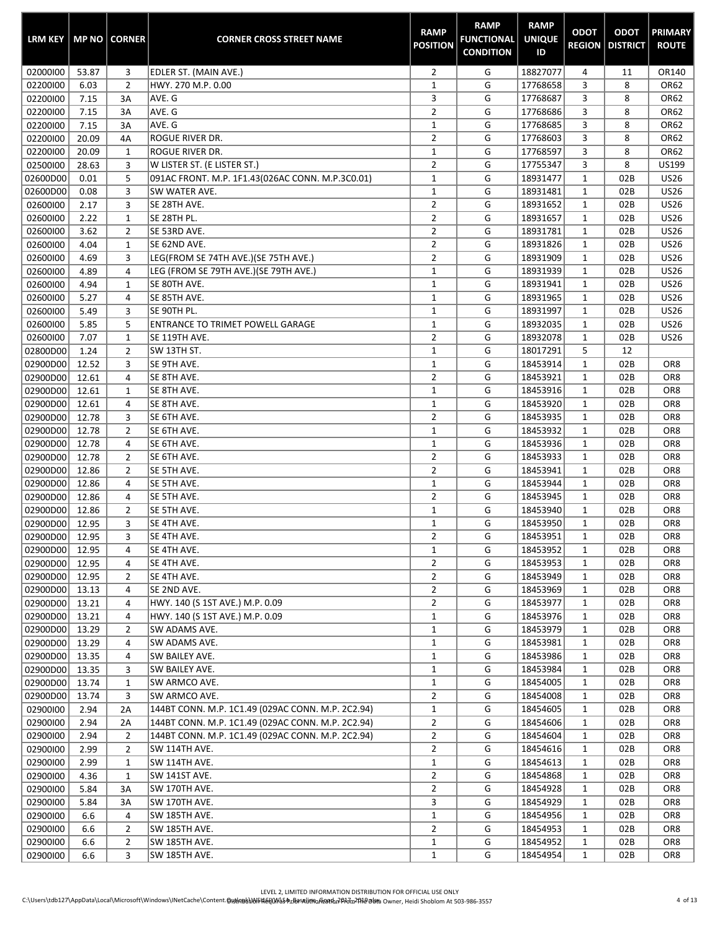| <b>LRM KEY</b> |       | <b>MP NO CORNER</b> | <b>CORNER CROSS STREET NAME</b>                   | <b>RAMP</b><br><b>POSITION</b> | <b>RAMP</b><br><b>FUNCTIONAL</b><br><b>CONDITION</b> | <b>RAMP</b><br><b>UNIQUE</b><br>ID | <b>ODOT</b>  | <b>ODOT</b><br><b>REGION   DISTRICT</b> | <b>PRIMARY</b><br><b>ROUTE</b> |
|----------------|-------|---------------------|---------------------------------------------------|--------------------------------|------------------------------------------------------|------------------------------------|--------------|-----------------------------------------|--------------------------------|
| 02000100       | 53.87 | 3                   | EDLER ST. (MAIN AVE.)                             | $\overline{2}$                 | G                                                    | 18827077                           | 4            | 11                                      | OR140                          |
| 02200100       | 6.03  | $\overline{2}$      | HWY. 270 M.P. 0.00                                | $\mathbf 1$                    | G                                                    | 17768658                           | 3            | 8                                       | OR62                           |
| 02200100       | 7.15  | 3A                  | AVE. G                                            | 3                              | G                                                    | 17768687                           | 3            | 8                                       | OR62                           |
| 02200100       | 7.15  | 3A                  | AVE. G                                            | $\overline{2}$                 | G                                                    | 17768686                           | 3            | 8                                       | OR62                           |
| 02200100       | 7.15  | 3A                  | AVE. G                                            | $\mathbf 1$                    | G                                                    | 17768685                           | 3            | 8                                       | OR62                           |
| 02200100       | 20.09 | 4A                  | <b>ROGUE RIVER DR.</b>                            | $\overline{2}$                 | G                                                    | 17768603                           | 3            | 8                                       | OR62                           |
| 02200100       | 20.09 | $\mathbf{1}$        | <b>ROGUE RIVER DR.</b>                            | $\mathbf 1$                    | G                                                    | 17768597                           | 3            | 8                                       | OR62                           |
| 02500100       | 28.63 | 3                   | W LISTER ST. (E LISTER ST.)                       | $\overline{2}$                 | G                                                    | 17755347                           | 3            | 8                                       | US199                          |
| 02600D00       | 0.01  | 5                   | 091AC FRONT. M.P. 1F1.43(026AC CONN. M.P.3C0.01)  | $\mathbf{1}$                   | G                                                    | 18931477                           | $\mathbf{1}$ | 02B                                     | <b>US26</b>                    |
| 02600D00       | 0.08  | 3                   | SW WATER AVE.                                     | $\mathbf 1$                    | G                                                    | 18931481                           | $\mathbf 1$  | 02B                                     | <b>US26</b>                    |
| 02600100       | 2.17  | 3                   | SE 28TH AVE.                                      | $\overline{2}$                 | G                                                    | 18931652                           | 1            | 02B                                     | <b>US26</b>                    |
| 02600100       | 2.22  | 1                   | SE 28TH PL.                                       | $\overline{2}$                 | G                                                    | 18931657                           | 1            | 02B                                     | <b>US26</b>                    |
| 02600100       | 3.62  | $\overline{2}$      | SE 53RD AVE.                                      | $\overline{2}$                 | G                                                    | 18931781                           | $\mathbf{1}$ | 02B                                     | <b>US26</b>                    |
| 02600100       | 4.04  | $\mathbf{1}$        | SE 62ND AVE.                                      | $\overline{2}$                 | G                                                    | 18931826                           | $\mathbf{1}$ | 02B                                     | <b>US26</b>                    |
| 02600100       | 4.69  | 3                   | LEG(FROM SE 74TH AVE.)(SE 75TH AVE.)              | $\overline{2}$                 | G                                                    | 18931909                           | $\mathbf 1$  | 02B                                     | <b>US26</b>                    |
| 02600100       | 4.89  | 4                   | LEG (FROM SE 79TH AVE.)(SE 79TH AVE.)             | $\mathbf{1}$                   | G                                                    | 18931939                           | $\mathbf{1}$ | 02B                                     | <b>US26</b>                    |
| 02600100       | 4.94  | 1                   | SE 80TH AVE.                                      | $\mathbf 1$                    | G                                                    | 18931941                           | 1            | 02B                                     | <b>US26</b>                    |
| 02600100       | 5.27  | 4                   | SE 85TH AVE.                                      | $\mathbf 1$                    | G                                                    | 18931965                           | $\mathbf{1}$ | 02B                                     | <b>US26</b>                    |
| 02600100       | 5.49  | 3                   | SE 90TH PL.                                       | $\mathbf 1$                    | G                                                    | 18931997                           | $\mathbf 1$  | 02B                                     | <b>US26</b>                    |
| 02600100       | 5.85  | 5                   | ENTRANCE TO TRIMET POWELL GARAGE                  | $\mathbf 1$                    | G                                                    | 18932035                           | 1            | 02B                                     | <b>US26</b>                    |
| 02600100       | 7.07  | 1                   | SE 119TH AVE.                                     | $\overline{2}$                 | G                                                    | 18932078                           | $\mathbf{1}$ | 02B                                     | <b>US26</b>                    |
| 02800D00       | 1.24  | $\overline{2}$      | SW 13TH ST.                                       | $\mathbf 1$                    | G                                                    | 18017291                           | 5            | 12                                      |                                |
| 02900D00       | 12.52 | 3                   | SE 9TH AVE.                                       | $\mathbf 1$                    | G                                                    | 18453914                           | $\mathbf 1$  | 02B                                     | OR8                            |
| 02900D00       | 12.61 | 4                   | SE 8TH AVE.                                       | $\overline{2}$                 | G                                                    | 18453921                           | $\mathbf{1}$ | 02B                                     | OR8                            |
| 02900D00       | 12.61 | $\mathbf 1$         | SE 8TH AVE.                                       | $\mathbf{1}$                   | G                                                    | 18453916                           | $\mathbf 1$  | 02B                                     | OR8                            |
| 02900D00       | 12.61 | 4                   | SE 8TH AVE.                                       | $\mathbf 1$                    | G                                                    | 18453920                           | $\mathbf{1}$ | 02B                                     | OR8                            |
| 02900D00       | 12.78 | 3                   | SE 6TH AVE.                                       | $\overline{2}$                 | G                                                    | 18453935                           | $\mathbf 1$  | 02B                                     | OR8                            |
| 02900D00       | 12.78 | 2                   | SE 6TH AVE.                                       | $\mathbf{1}$                   | G                                                    | 18453932                           | 1            | 02B                                     | OR8                            |
| 02900D00       | 12.78 | 4                   | SE 6TH AVE.                                       | $\mathbf 1$                    | G                                                    | 18453936                           | 1            | 02B                                     | OR8                            |
| 02900D00       | 12.78 | $\overline{2}$      | SE 6TH AVE.                                       | $\overline{2}$                 | G                                                    | 18453933                           | $\mathbf{1}$ | 02B                                     | OR8                            |
| 02900D00       | 12.86 | $\overline{2}$      | SE 5TH AVE.                                       | $\overline{2}$                 | G                                                    | 18453941                           | $\mathbf{1}$ | 02B                                     | OR8                            |
| 02900D00       | 12.86 | 4                   | SE 5TH AVE.                                       | $\mathbf{1}$                   | G                                                    | 18453944                           | 1            | 02B                                     | OR8                            |
| 02900D00       | 12.86 | 4                   | SE 5TH AVE.                                       | $\overline{2}$                 | G                                                    | 18453945                           | $\mathbf{1}$ | 02B                                     | OR8                            |
| 02900D00       | 12.86 | $\overline{2}$      | SE 5TH AVE.                                       | $\mathbf{1}$                   | G                                                    | 18453940                           | 1            | 02B                                     | OR8                            |
| 02900D00       | 12.95 | 3                   | SE 4TH AVE.                                       | $\mathbf 1$                    | G                                                    | 18453950                           | $\mathbf{1}$ | 02B                                     | OR8                            |
| 02900D00       | 12.95 | 3                   | SE 4TH AVE.                                       | $\overline{2}$                 | G                                                    | 18453951                           | 1            | 02B                                     | OR8                            |
| 02900D00       | 12.95 | 4                   | SE 4TH AVE.                                       | 1                              | G                                                    | 18453952                           | 1            | 02B                                     | OR8                            |
| 02900D00       | 12.95 | 4                   | SE 4TH AVE.                                       | $\overline{2}$                 | G                                                    | 18453953                           | 1            | 02B                                     | OR8                            |
| 02900D00       | 12.95 | $\overline{2}$      | SE 4TH AVE.                                       | $\overline{2}$                 | G                                                    | 18453949                           | 1            | 02B                                     | OR8                            |
| 02900D00       | 13.13 | 4                   | SE 2ND AVE.                                       | $\overline{2}$                 | G                                                    | 18453969                           | 1            | 02B                                     | OR8                            |
| 02900D00       | 13.21 | 4                   | HWY. 140 (S 1ST AVE.) M.P. 0.09                   | $\overline{2}$                 | G                                                    | 18453977                           | 1            | 02B                                     | OR8                            |
| 02900D00       | 13.21 | 4                   | HWY. 140 (S 1ST AVE.) M.P. 0.09                   | $\mathbf{1}$                   | G                                                    | 18453976                           | 1            | 02B                                     | OR8                            |
| 02900D00       | 13.29 | $\overline{2}$      | SW ADAMS AVE.                                     | $1\,$                          | G                                                    | 18453979                           | 1            | 02B                                     | OR8                            |
| 02900D00       | 13.29 | 4                   | SW ADAMS AVE.                                     | $\mathbf{1}$                   | G                                                    | 18453981                           | 1            | 02B                                     | OR8                            |
| 02900D00       | 13.35 | 4                   | SW BAILEY AVE.                                    | 1                              | G                                                    | 18453986                           | 1            | 02B                                     | OR8                            |
| 02900D00       | 13.35 | 3                   | SW BAILEY AVE.                                    | $\mathbf{1}$                   | G                                                    | 18453984                           | 1            | 02B                                     | OR8                            |
| 02900D00       | 13.74 | 1                   | SW ARMCO AVE.                                     | $\mathbf{1}$                   | G                                                    | 18454005                           | 1            | 02B                                     | OR8                            |
| 02900D00       | 13.74 | 3                   | SW ARMCO AVE.                                     | $\overline{2}$                 | G                                                    | 18454008                           | $\mathbf{1}$ | 02B                                     | OR8                            |
| 02900100       | 2.94  | 2A                  | 144BT CONN. M.P. 1C1.49 (029AC CONN. M.P. 2C2.94) | $1\,$                          | G                                                    | 18454605                           | 1            | 02B                                     | OR8                            |
| 02900100       | 2.94  | 2A                  | 144BT CONN. M.P. 1C1.49 (029AC CONN. M.P. 2C2.94) | $\mathbf{2}$                   | G                                                    | 18454606                           | 1            | 02B                                     | OR8                            |
| 02900100       | 2.94  | $\overline{2}$      | 144BT CONN. M.P. 1C1.49 (029AC CONN. M.P. 2C2.94) | $\overline{2}$                 | G                                                    | 18454604                           | 1            | 02B                                     | OR8                            |
| 02900100       | 2.99  | $\overline{2}$      | SW 114TH AVE.                                     | $\overline{2}$                 | G                                                    | 18454616                           | 1            | 02B                                     | OR8                            |
| 02900100       | 2.99  | 1                   | SW 114TH AVE.                                     | $\mathbf{1}$                   | G                                                    | 18454613                           | 1            | 02B                                     | OR8                            |
| 02900100       | 4.36  | 1                   | SW 141ST AVE.                                     | $\overline{2}$                 | G                                                    | 18454868                           | 1            | 02B                                     | OR8                            |
| 02900100       | 5.84  | 3A                  | SW 170TH AVE.                                     | $\overline{2}$                 | G                                                    | 18454928                           | 1            | 02B                                     | OR8                            |
| 02900100       | 5.84  | 3A                  | SW 170TH AVE.                                     | 3                              | G                                                    | 18454929                           | 1            | 02B                                     | OR8                            |
| 02900100       | 6.6   | 4                   | SW 185TH AVE.                                     | $\mathbf{1}$                   | G                                                    | 18454956                           | 1            | 02B                                     | OR8                            |
| 02900100       | 6.6   | $\overline{2}$      | SW 185TH AVE.                                     | $\overline{2}$                 | G                                                    | 18454953                           | 1            | 02B                                     | OR8                            |
| 02900100       | 6.6   | $\overline{2}$      | SW 185TH AVE.                                     | $\mathbf{1}$                   | G                                                    | 18454952                           | 1            | 02B                                     | OR8                            |
| 02900100       | 6.6   | 3                   | SW 185TH AVE.                                     | $\mathbf{1}$                   | G                                                    | 18454954                           | 1            | 02B                                     | OR8                            |

÷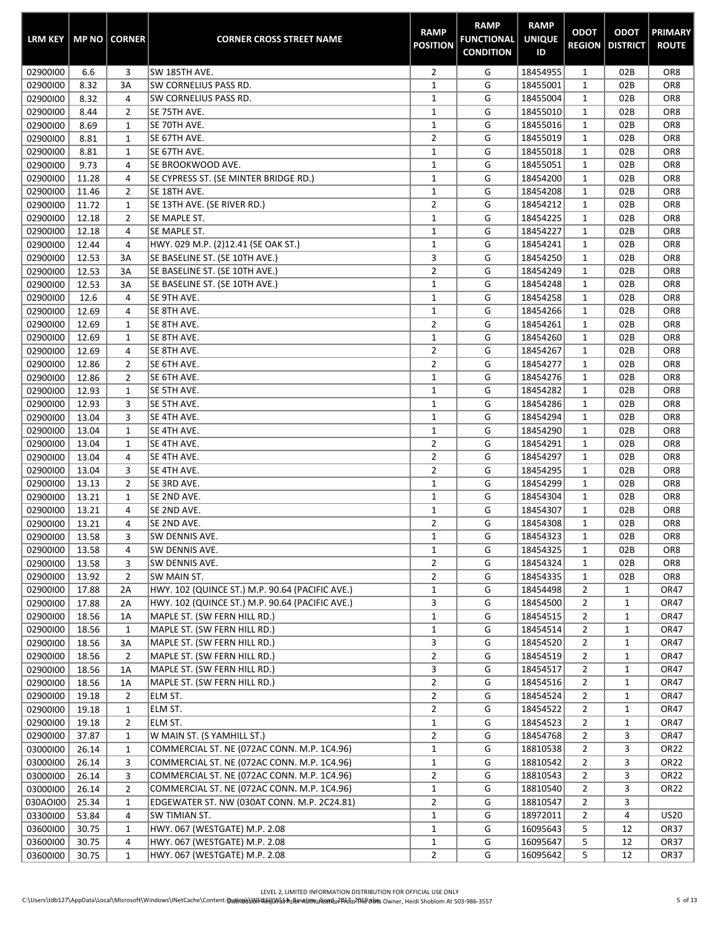| <b>LRM KEY</b>       |                | <b>MP NO   CORNER</b> | <b>CORNER CROSS STREET NAME</b>                 | <b>RAMP</b><br><b>POSITION</b> | <b>RAMP</b><br><b>FUNCTIONAL</b><br><b>CONDITION</b> | <b>RAMP</b><br><b>UNIQUE</b><br>ID | <b>ODOT</b><br><b>REGION</b> | <b>ODOT</b><br><b>DISTRICT</b> | <b>PRIMARY</b><br><b>ROUTE</b>     |
|----------------------|----------------|-----------------------|-------------------------------------------------|--------------------------------|------------------------------------------------------|------------------------------------|------------------------------|--------------------------------|------------------------------------|
| 02900100             | 6.6            | 3                     | SW 185TH AVE.                                   | $\overline{2}$                 | G                                                    | 18454955                           | $\mathbf{1}$                 | 02B                            | OR <sub>8</sub>                    |
| 02900100             | 8.32           | 3A                    | SW CORNELIUS PASS RD.                           | $\mathbf 1$                    | G                                                    | 18455001                           | $\mathbf{1}$                 | 02B                            | OR <sub>8</sub>                    |
| 02900100             | 8.32           | 4                     | <b>SW CORNELIUS PASS RD.</b>                    | $\mathbf 1$                    | G                                                    | 18455004                           | $\mathbf{1}$                 | 02B                            | OR <sub>8</sub>                    |
| 02900100             | 8.44           | 2                     | SE 75TH AVE.                                    | $\mathbf 1$                    | G                                                    | 18455010                           | $\mathbf 1$                  | 02B                            | OR <sub>8</sub>                    |
| 02900100             | 8.69           | 1                     | SE 70TH AVE.                                    | $\mathbf 1$                    | G                                                    | 18455016                           | $\mathbf 1$                  | 02B                            | OR <sub>8</sub>                    |
| 02900100             | 8.81           | $\mathbf{1}$          | SE 67TH AVE.                                    | $\overline{2}$                 | G                                                    | 18455019                           | $\mathbf 1$                  | 02B                            | OR <sub>8</sub>                    |
| 02900100             | 8.81           | $\mathbf{1}$          | SE 67TH AVE.                                    | $\mathbf{1}$                   | G                                                    | 18455018                           | $\mathbf{1}$                 | 02B                            | OR <sub>8</sub>                    |
| 02900100             | 9.73           | 4                     | SE BROOKWOOD AVE.                               | $\mathbf{1}$                   | G                                                    | 18455051                           | $\mathbf{1}$                 | 02B                            | OR <sub>8</sub>                    |
| 02900100             | 11.28          | 4                     | SE CYPRESS ST. (SE MINTER BRIDGE RD.)           | $\mathbf{1}$                   | G                                                    | 18454200                           | $\mathbf{1}$                 | 02B                            | OR <sub>8</sub>                    |
| 02900100             | 11.46          | $\overline{2}$        | SE 18TH AVE.                                    | $\mathbf 1$                    | G                                                    | 18454208                           | $\mathbf{1}$                 | 02B                            | OR <sub>8</sub>                    |
| 02900100             | 11.72          | $\mathbf{1}$          | SE 13TH AVE. (SE RIVER RD.)                     | $\overline{2}$                 | G                                                    | 18454212                           | $\mathbf{1}$                 | 02B                            | OR <sub>8</sub>                    |
| 02900100             | 12.18          | 2                     | SE MAPLE ST.                                    | $\mathbf 1$                    | G                                                    | 18454225                           | $\mathbf{1}$                 | 02B                            | OR <sub>8</sub>                    |
| 02900100             | 12.18          | 4                     | SE MAPLE ST.                                    | $\mathbf 1$                    | G                                                    | 18454227                           | $\mathbf{1}$                 | 02B                            | OR <sub>8</sub>                    |
| 02900100             | 12.44          | 4                     | HWY. 029 M.P. (2)12.41 (SE OAK ST.)             | $\mathbf{1}$                   | G                                                    | 18454241                           | $\mathbf{1}$                 | 02B                            | OR <sub>8</sub>                    |
| 02900100             | 12.53          | 3A                    | SE BASELINE ST. (SE 10TH AVE.)                  | 3                              | G                                                    | 18454250                           | $\mathbf{1}$                 | 02B                            | OR <sub>8</sub>                    |
| 02900100             | 12.53          | 3A                    | SE BASELINE ST. (SE 10TH AVE.)                  | $\overline{2}$                 | G                                                    | 18454249                           | $\mathbf{1}$                 | 02B                            | OR <sub>8</sub>                    |
| 02900100             | 12.53          | 3A                    | SE BASELINE ST. (SE 10TH AVE.)                  | $\mathbf{1}$                   | G                                                    | 18454248                           | $\mathbf{1}$                 | 02B                            | OR <sub>8</sub>                    |
| 02900100             | 12.6           | 4                     | SE 9TH AVE.                                     | $\mathbf 1$                    | G                                                    | 18454258                           | $\mathbf{1}$                 | 02B                            | OR <sub>8</sub>                    |
| 02900100             | 12.69          | 4                     | SE 8TH AVE.                                     | $\mathbf 1$                    | G                                                    | 18454266                           | $\mathbf{1}$                 | 02B                            | OR8                                |
| 02900100             | 12.69          | 1                     | SE 8TH AVE.                                     | $\overline{2}$                 | G                                                    | 18454261                           | $\mathbf{1}$                 | 02B                            | OR <sub>8</sub>                    |
| 02900100             | 12.69          | 1                     | SE 8TH AVE.                                     | $\mathbf 1$                    | G                                                    | 18454260                           | $\mathbf{1}$                 | 02B                            | OR <sub>8</sub>                    |
| 02900100             | 12.69          | 4                     | SE 8TH AVE.                                     | $\overline{2}$                 | G                                                    | 18454267                           | $\mathbf 1$                  | 02B                            | OR <sub>8</sub>                    |
| 02900100             | 12.86          | $\overline{2}$        | SE 6TH AVE.                                     | $\overline{2}$                 | G                                                    | 18454277                           | $\mathbf 1$                  | 02B                            | OR <sub>8</sub>                    |
| 02900100             | 12.86          | $\overline{2}$        | SE 6TH AVE.                                     | $\mathbf 1$                    | G                                                    | 18454276                           | $\mathbf{1}$                 | 02B                            | OR <sub>8</sub>                    |
| 02900100             | 12.93          | 1                     | SE 5TH AVE.                                     | $\mathbf{1}$                   | G                                                    | 18454282                           | $\mathbf{1}$                 | 02B                            | OR <sub>8</sub>                    |
| 02900100             | 12.93          | 3                     | SE 5TH AVE.                                     | $\mathbf{1}$                   | G                                                    | 18454286                           | $\mathbf{1}$                 | 02B                            | OR <sub>8</sub>                    |
| 02900100             | 13.04          | 3                     | SE 4TH AVE.                                     | $\mathbf 1$                    | G                                                    | 18454294                           | $\mathbf 1$                  | 02B                            | OR8                                |
| 02900100             | 13.04          | $\mathbf 1$           | SE 4TH AVE.                                     | $\mathbf 1$                    | G                                                    | 18454290                           | $\mathbf{1}$                 | 02B                            | OR <sub>8</sub>                    |
| 02900100             | 13.04          | 1                     | SE 4TH AVE.                                     | $\overline{2}$                 | G                                                    | 18454291                           | $\mathbf 1$                  | 02B                            | OR <sub>8</sub>                    |
| 02900100             | 13.04          | 4                     | SE 4TH AVE.                                     | $\overline{2}$                 | G                                                    | 18454297                           | $\mathbf{1}$                 | 02B                            | OR <sub>8</sub>                    |
| 02900100             | 13.04          | 3                     | SE 4TH AVE.                                     | $\overline{2}$                 | G<br>G                                               | 18454295                           | $\mathbf 1$                  | 02B                            | OR <sub>8</sub>                    |
| 02900100             | 13.13          | $\overline{2}$        | SE 3RD AVE.<br>SE 2ND AVE.                      | $\mathbf 1$<br>$\mathbf{1}$    | G                                                    | 18454299<br>18454304               | $\mathbf{1}$<br>$\mathbf{1}$ | 02B<br>02B                     | OR <sub>8</sub><br>OR <sub>8</sub> |
| 02900100<br>02900100 | 13.21<br>13.21 | 1                     | SE 2ND AVE.                                     | $\mathbf{1}$                   | G                                                    | 18454307                           | $\mathbf{1}$                 | 02B                            | OR <sub>8</sub>                    |
| 02900100             | 13.21          | 4<br>4                | SE 2ND AVE.                                     | $\overline{2}$                 | G                                                    | 18454308                           | $\mathbf{1}$                 | 02B                            | OR <sub>8</sub>                    |
| 02900100             | 13.58          | 3                     | SW DENNIS AVE.                                  | $\mathbf{1}$                   | G                                                    | 18454323                           | $\mathbf{1}$                 | 02B                            | OR <sub>8</sub>                    |
| 02900100             | 13.58          | 4                     | SW DENNIS AVE.                                  | 1                              | G                                                    | 18454325                           | 1                            | 02B                            | OR8                                |
| 02900100             | 13.58          | 3                     | SW DENNIS AVE.                                  | $\overline{2}$                 | G                                                    | 18454324                           | $\mathbf{1}$                 | 02B                            | OR8                                |
| 02900100             | 13.92          | $\overline{2}$        | SW MAIN ST.                                     | $\overline{2}$                 | G                                                    | 18454335                           | $\mathbf{1}$                 | 02B                            | OR8                                |
| 02900100             | 17.88          | 2A                    | HWY. 102 (QUINCE ST.) M.P. 90.64 (PACIFIC AVE.) | $\mathbf{1}$                   | G                                                    | 18454498                           | $\overline{2}$               | $\mathbf{1}$                   | OR47                               |
| 02900100             | 17.88          | 2A                    | HWY. 102 (QUINCE ST.) M.P. 90.64 (PACIFIC AVE.) | 3                              | G                                                    | 18454500                           | $\overline{2}$               | $\mathbf{1}$                   | OR47                               |
| 02900100             | 18.56          | 1A                    | MAPLE ST. (SW FERN HILL RD.)                    | $\mathbf{1}$                   | G                                                    | 18454515                           | $\overline{2}$               | 1                              | OR47                               |
| 02900100             | 18.56          | 1                     | MAPLE ST. (SW FERN HILL RD.)                    | $\mathbf{1}$                   | G                                                    | 18454514                           | $\overline{2}$               | $\mathbf{1}$                   | OR47                               |
| 02900100             | 18.56          | 3A                    | MAPLE ST. (SW FERN HILL RD.)                    | 3                              | G                                                    | 18454520                           | $\overline{2}$               | $\mathbf{1}$                   | OR47                               |
| 02900100             | 18.56          | $\overline{2}$        | MAPLE ST. (SW FERN HILL RD.)                    | $\overline{2}$                 | G                                                    | 18454519                           | $\overline{2}$               | $\mathbf{1}$                   | OR47                               |
| 02900100             | 18.56          | 1A                    | MAPLE ST. (SW FERN HILL RD.)                    | 3                              | G                                                    | 18454517                           | $\overline{2}$               | $\mathbf{1}$                   | OR47                               |
| 02900100             | 18.56          | 1A                    | MAPLE ST. (SW FERN HILL RD.)                    | $\overline{2}$                 | G                                                    | 18454516                           | $\overline{2}$               | $\mathbf{1}$                   | OR47                               |
| 02900100             | 19.18          | $\overline{2}$        | ELM ST.                                         | $\overline{2}$                 | G                                                    | 18454524                           | $\overline{2}$               | $\mathbf{1}$                   | OR47                               |
| 02900100             | 19.18          | $\mathbf{1}$          | ELM ST.                                         | $\overline{2}$                 | G                                                    | 18454522                           | $\overline{2}$               | $\mathbf{1}$                   | OR47                               |
| 02900100             | 19.18          | 2                     | ELM ST.                                         | $\mathbf{1}$                   | G                                                    | 18454523                           | $\overline{2}$               | $\mathbf{1}$                   | OR47                               |
| 02900100             | 37.87          | $\mathbf 1$           | W MAIN ST. (S YAMHILL ST.)                      | $\overline{2}$                 | G                                                    | 18454768                           | $\overline{2}$               | 3                              | OR47                               |
| 03000100             | 26.14          | $\mathbf 1$           | COMMERCIAL ST. NE (072AC CONN. M.P. 1C4.96)     | $\mathbf{1}$                   | G                                                    | 18810538                           | $\overline{2}$               | 3                              | OR22                               |
| 03000100             | 26.14          | 3                     | COMMERCIAL ST. NE (072AC CONN. M.P. 1C4.96)     | $\mathbf 1$                    | G                                                    | 18810542                           | 2                            | 3                              | OR <sub>22</sub>                   |
| 03000100             | 26.14          | 3                     | COMMERCIAL ST. NE (072AC CONN. M.P. 1C4.96)     | $\overline{2}$                 | G                                                    | 18810543                           | $\overline{2}$               | 3                              | OR22                               |
| 03000100             | 26.14          | $\overline{2}$        | COMMERCIAL ST. NE (072AC CONN. M.P. 1C4.96)     | $\mathbf{1}$                   | G                                                    | 18810540                           | $\overline{2}$               | 3                              | OR22                               |
| 030AOI00             | 25.34          | $\mathbf{1}$          | EDGEWATER ST. NW (030AT CONN. M.P. 2C24.81)     | $\overline{2}$                 | G                                                    | 18810547                           | $\overline{2}$               | 3                              |                                    |
| 03300100             | 53.84          | 4                     | SW TIMIAN ST.                                   | $\mathbf{1}$                   | G                                                    | 18972011                           | $\overline{2}$               | 4                              | <b>US20</b>                        |
| 03600100             | 30.75          | $\mathbf{1}$          | HWY. 067 (WESTGATE) M.P. 2.08                   | $\mathbf{1}$                   | G                                                    | 16095643                           | 5                            | 12                             | OR37                               |
| 03600100             | 30.75          | 4                     | HWY. 067 (WESTGATE) M.P. 2.08                   | $\mathbf{1}$                   | G                                                    | 16095647                           | 5                            | 12                             | OR37                               |
| 03600100             | 30.75          | $\mathbf{1}$          | HWY. 067 (WESTGATE) M.P. 2.08                   | $\overline{2}$                 | G                                                    | 16095642                           | 5                            | 12                             | OR37                               |

÷

÷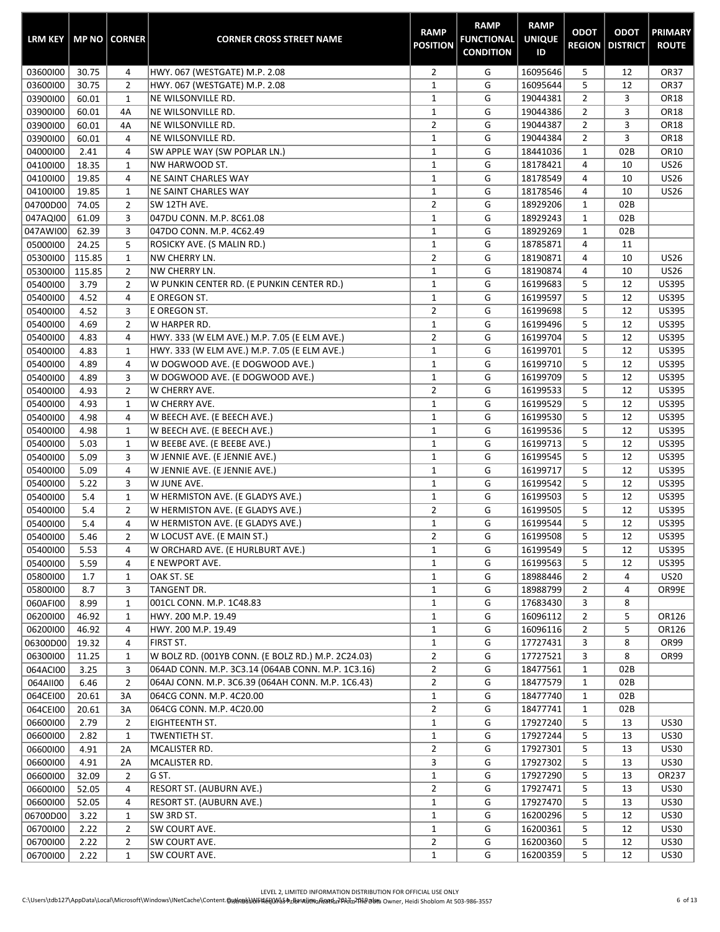| <b>LRM KEY</b> |        | MP NO CORNER   | <b>CORNER CROSS STREET NAME</b>                    | <b>RAMP</b><br><b>POSITION</b> | <b>RAMP</b><br><b>FUNCTIONAL</b><br><b>CONDITION</b> | <b>RAMP</b><br><b>UNIQUE</b><br>ID | <b>ODOT</b><br><b>REGION</b> | <b>ODOT</b><br><b>DISTRICT</b> | <b>PRIMARY</b><br><b>ROUTE</b> |
|----------------|--------|----------------|----------------------------------------------------|--------------------------------|------------------------------------------------------|------------------------------------|------------------------------|--------------------------------|--------------------------------|
| 03600100       | 30.75  | 4              | HWY. 067 (WESTGATE) M.P. 2.08                      | $\overline{2}$                 | G                                                    | 16095646                           | 5                            | 12                             | <b>OR37</b>                    |
| 03600100       | 30.75  | $\overline{2}$ | HWY. 067 (WESTGATE) M.P. 2.08                      | $\mathbf 1$                    | G                                                    | 16095644                           | 5                            | 12                             | <b>OR37</b>                    |
| 03900100       | 60.01  | $\mathbf{1}$   | NE WILSONVILLE RD.                                 | $\mathbf 1$                    | G                                                    | 19044381                           | $\overline{2}$               | 3                              | OR18                           |
| 03900100       | 60.01  | 4A             | NE WILSONVILLE RD.                                 | $\mathbf{1}$                   | G                                                    | 19044386                           | $\overline{2}$               | 3                              | OR18                           |
| 03900100       | 60.01  | 4A             | NE WILSONVILLE RD.                                 | 2                              | G                                                    | 19044387                           | $\overline{2}$               | 3                              | OR18                           |
| 03900100       | 60.01  | 4              | NE WILSONVILLE RD.                                 | $\mathbf{1}$                   | G                                                    | 19044384                           | $\overline{2}$               | 3                              | OR18                           |
| 04000100       | 2.41   | 4              | SW APPLE WAY (SW POPLAR LN.)                       | $\mathbf 1$                    | G                                                    | 18441036                           | $\mathbf{1}$                 | 02B                            | OR10                           |
| 04100100       | 18.35  | $\mathbf{1}$   | NW HARWOOD ST.                                     | $\mathbf 1$                    | G                                                    | 18178421                           | 4                            | 10                             | <b>US26</b>                    |
| 04100100       | 19.85  | 4              | <b>NE SAINT CHARLES WAY</b>                        | $\mathbf 1$                    | G                                                    | 18178549                           | 4                            | 10                             | <b>US26</b>                    |
| 04100100       | 19.85  | $\mathbf{1}$   | <b>NE SAINT CHARLES WAY</b>                        | $\mathbf 1$                    | G                                                    | 18178546                           | 4                            | 10                             | <b>US26</b>                    |
| 04700D00       | 74.05  | $\overline{2}$ | SW 12TH AVE.                                       | 2                              | G                                                    | 18929206                           | $\mathbf{1}$                 | 02B                            |                                |
| 047AQI00       | 61.09  | 3              | 047DU CONN. M.P. 8C61.08                           | $\mathbf 1$                    | G                                                    | 18929243                           | $\mathbf 1$                  | 02B                            |                                |
| 047AWI00       | 62.39  | 3              | 047DO CONN. M.P. 4C62.49                           | $\mathbf 1$                    | G                                                    | 18929269                           | $\mathbf{1}$                 | 02B                            |                                |
| 05000100       | 24.25  | 5              | ROSICKY AVE. (S MALIN RD.)                         | $\mathbf{1}$                   | G                                                    | 18785871                           | 4                            | 11                             |                                |
| 05300100       | 115.85 | $\mathbf{1}$   | NW CHERRY LN.                                      | $\overline{2}$                 | G                                                    | 18190871                           | 4                            | 10                             | <b>US26</b>                    |
| 05300100       | 115.85 | $\overline{2}$ | <b>NW CHERRY LN.</b>                               | $\mathbf 1$                    | G                                                    | 18190874                           | 4                            | 10                             | <b>US26</b>                    |
| 05400100       | 3.79   | $\overline{2}$ | W PUNKIN CENTER RD. (E PUNKIN CENTER RD.)          | 1                              | G                                                    | 16199683                           | 5                            | 12                             | <b>US395</b>                   |
| 05400100       | 4.52   | 4              | E OREGON ST.                                       | $\mathbf 1$                    | G                                                    | 16199597                           | 5                            | 12                             | <b>US395</b>                   |
| 05400100       | 4.52   | 3              | E OREGON ST.                                       | $\overline{2}$                 | G                                                    | 16199698                           | 5                            | 12                             | <b>US395</b>                   |
| 05400100       | 4.69   | $\overline{2}$ | W HARPER RD.                                       | $\mathbf 1$                    | G                                                    | 16199496                           | 5                            | 12                             | <b>US395</b>                   |
| 05400100       | 4.83   | 4              | HWY. 333 (W ELM AVE.) M.P. 7.05 (E ELM AVE.)       | $\overline{2}$                 | G                                                    | 16199704                           | 5                            | 12                             | <b>US395</b>                   |
| 05400100       | 4.83   | $\mathbf{1}$   | HWY. 333 (W ELM AVE.) M.P. 7.05 (E ELM AVE.)       | $\mathbf{1}$                   | G                                                    | 16199701                           | 5                            | 12                             | <b>US395</b>                   |
| 05400100       | 4.89   | $\overline{4}$ | W DOGWOOD AVE. (E DOGWOOD AVE.)                    | $\mathbf{1}$                   | G                                                    | 16199710                           | 5                            | 12                             | <b>US395</b>                   |
| 05400100       | 4.89   | 3              | W DOGWOOD AVE. (E DOGWOOD AVE.)                    | $\mathbf 1$                    | G                                                    | 16199709                           | 5                            | 12                             | <b>US395</b>                   |
| 05400100       | 4.93   | $\overline{2}$ | W CHERRY AVE.                                      | $\overline{2}$                 | G                                                    | 16199533                           | 5                            | 12                             | US395                          |
| 05400100       | 4.93   | $1\,$          | W CHERRY AVE.                                      | $\mathbf 1$                    | G                                                    | 16199529                           | 5                            | 12                             | <b>US395</b>                   |
| 05400100       | 4.98   | $\overline{4}$ | W BEECH AVE. (E BEECH AVE.)                        | $\mathbf 1$                    | G                                                    | 16199530                           | 5                            | 12                             | <b>US395</b>                   |
| 05400100       | 4.98   | $\mathbf{1}$   | W BEECH AVE. (E BEECH AVE.)                        | $\mathbf 1$                    | G                                                    | 16199536                           | 5                            | 12                             | <b>US395</b>                   |
| 05400100       | 5.03   | 1              | W BEEBE AVE. (E BEEBE AVE.)                        | $\mathbf{1}$                   | G                                                    | 16199713                           | 5                            | 12                             | <b>US395</b>                   |
| 05400100       | 5.09   | 3              | W JENNIE AVE. (E JENNIE AVE.)                      | $\mathbf{1}$                   | G                                                    | 16199545                           | 5                            | 12                             | <b>US395</b>                   |
| 05400100       | 5.09   | 4              | W JENNIE AVE. (E JENNIE AVE.)                      | $\mathbf{1}$                   | G                                                    | 16199717                           | 5                            | 12                             | <b>US395</b>                   |
| 05400100       | 5.22   | 3              | W JUNE AVE.                                        | $\mathbf 1$                    | G                                                    | 16199542                           | 5                            | 12                             | <b>US395</b>                   |
| 05400100       | 5.4    | $\mathbf{1}$   | W HERMISTON AVE. (E GLADYS AVE.)                   | $\mathbf 1$                    | G                                                    | 16199503                           | 5                            | 12                             | <b>US395</b>                   |
| 05400100       | 5.4    | $\overline{2}$ | W HERMISTON AVE. (E GLADYS AVE.)                   | $\overline{2}$                 | G                                                    | 16199505                           | 5                            | 12                             | <b>US395</b>                   |
| 05400100       | 5.4    | 4              | W HERMISTON AVE. (E GLADYS AVE.)                   | $\mathbf{1}$                   | G                                                    | 16199544                           | 5                            | 12                             | <b>US395</b>                   |
| 05400100       | 5.46   | $\overline{2}$ | W LOCUST AVE. (E MAIN ST.)                         | $\overline{2}$                 | G                                                    | 16199508                           | 5                            | 12                             | <b>US395</b>                   |
| 05400100       | 5.53   | 4              | W ORCHARD AVE. (E HURLBURT AVE.)                   | 1                              | G                                                    | 16199549                           | 5                            | 12                             | US395                          |
| 05400100       | 5.59   | 4              | E NEWPORT AVE.                                     | $\mathbf{1}$                   | G                                                    | 16199563                           | 5                            | 12                             | <b>US395</b>                   |
| 05800100       | 1.7    | 1              | OAK ST. SE                                         | $\mathbf{1}$                   | G                                                    | 18988446                           | $\overline{2}$               | 4                              | <b>US20</b>                    |
| 05800100       | 8.7    | 3              | TANGENT DR.                                        | $\mathbf{1}$                   | G                                                    | 18988799                           | $\overline{2}$               | 4                              | OR99E                          |
| 060AFI00       | 8.99   | $\mathbf{1}$   | 001CL CONN. M.P. 1C48.83                           | $\mathbf{1}$                   | G                                                    | 17683430                           | 3                            | 8                              |                                |
| 06200100       | 46.92  | 1              | HWY. 200 M.P. 19.49                                | $\mathbf{1}$                   | G                                                    | 16096112                           | $\overline{2}$               | 5                              | OR126                          |
| 06200100       | 46.92  | 4              | HWY. 200 M.P. 19.49                                | $\mathbf{1}$                   | G                                                    | 16096116                           | $\overline{2}$               | 5                              | OR126                          |
| 06300D00       | 19.32  | 4              | FIRST ST.                                          | $\mathbf{1}$                   | G                                                    | 17727431                           | 3                            | 8                              | OR99                           |
| 06300100       | 11.25  | $\mathbf{1}$   | W BOLZ RD. (001YB CONN. (E BOLZ RD.) M.P. 2C24.03) | $\overline{2}$                 | G                                                    | 17727521                           | 3                            | 8                              | OR99                           |
| 064ACI00       | 3.25   | 3              | 064AD CONN. M.P. 3C3.14 (064AB CONN. M.P. 1C3.16)  | $\overline{2}$                 | G                                                    | 18477561                           | $\mathbf{1}$                 | 02B                            |                                |
| 064AII00       | 6.46   | $\overline{2}$ | 064AJ CONN. M.P. 3C6.39 (064AH CONN. M.P. 1C6.43)  | $\overline{2}$                 | G                                                    | 18477579                           | $\mathbf{1}$                 | 02B                            |                                |
| 064CEI00       | 20.61  | 3A             | 064CG CONN. M.P. 4C20.00                           | $\mathbf{1}$                   | G                                                    | 18477740                           | $\mathbf{1}$                 | 02B                            |                                |
| 064CEI00       | 20.61  | 3A             | 064CG CONN. M.P. 4C20.00                           | $\overline{2}$                 | G                                                    | 18477741                           | $\mathbf{1}$                 | 02B                            |                                |
| 06600100       | 2.79   | $\overline{2}$ | <b>EIGHTEENTH ST.</b>                              | $\mathbf{1}$                   | G                                                    | 17927240                           | 5                            | 13                             | <b>US30</b>                    |
| 06600100       | 2.82   | 1              | <b>TWENTIETH ST.</b>                               | $\mathbf{1}$                   | G                                                    | 17927244                           | 5                            | 13                             | <b>US30</b>                    |
| 06600100       | 4.91   | 2A             | MCALISTER RD.                                      | $\overline{2}$                 | G                                                    | 17927301                           | 5                            | 13                             | <b>US30</b>                    |
| 06600100       | 4.91   | 2A             | MCALISTER RD.                                      | 3                              | G                                                    | 17927302                           | 5                            | 13                             | <b>US30</b>                    |
| 06600100       | 32.09  | $\overline{2}$ | G ST.                                              | $\mathbf{1}$                   | G                                                    | 17927290                           | 5                            | 13                             | OR237                          |
| 06600100       | 52.05  | 4              | <b>RESORT ST. (AUBURN AVE.)</b>                    | $\overline{2}$                 | G                                                    | 17927471                           | 5                            | 13                             | <b>US30</b>                    |
| 06600100       | 52.05  | 4              | RESORT ST. (AUBURN AVE.)                           | $\mathbf{1}$                   | G                                                    | 17927470                           | 5                            | 13                             | <b>US30</b>                    |
| 06700D00       | 3.22   | 1              | SW 3RD ST.                                         | $\mathbf{1}$                   | G                                                    | 16200296                           | 5                            | 12                             | <b>US30</b>                    |
| 06700100       | 2.22   | $\overline{2}$ | SW COURT AVE.                                      | $\mathbf{1}$                   | G                                                    | 16200361                           | 5                            | 12                             | <b>US30</b>                    |
| 06700100       | 2.22   | $\overline{2}$ | SW COURT AVE.                                      | $\overline{2}$                 | G                                                    | 16200360                           | 5                            | 12                             | <b>US30</b>                    |
| 06700100       | 2.22   | $\mathbf{1}$   | SW COURT AVE.                                      | $\mathbf{1}$                   | G                                                    | 16200359                           | 5                            | 12                             | <b>US30</b>                    |
|                |        |                |                                                    |                                |                                                      |                                    |                              |                                |                                |

÷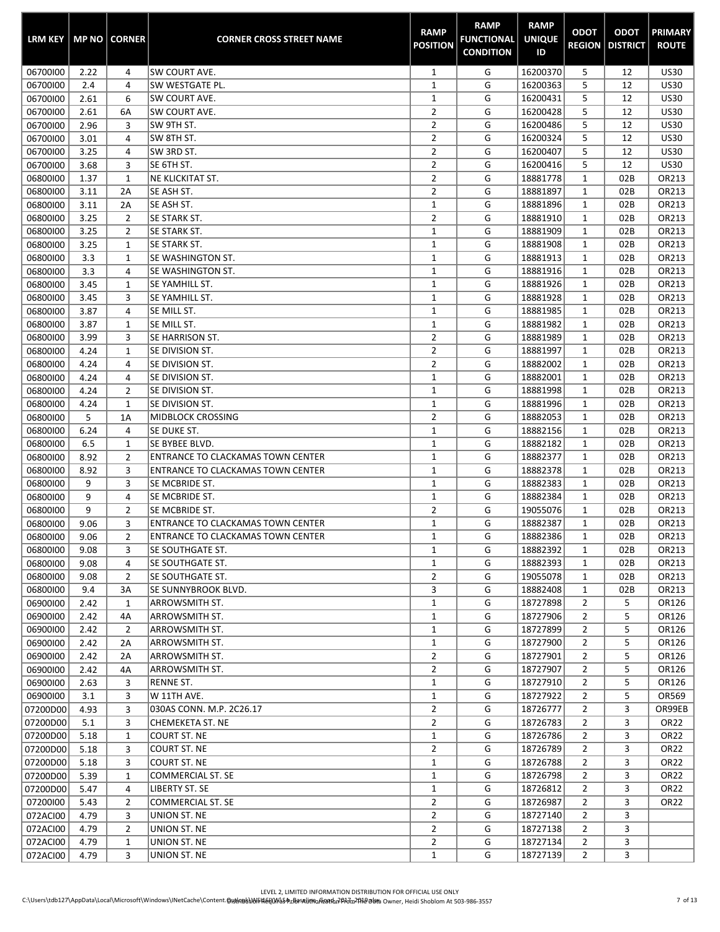| <b>LRM KEY</b>       |              | <b>MP NO   CORNER</b> | <b>CORNER CROSS STREET NAME</b>       | <b>RAMP</b><br><b>POSITION</b>   | <b>RAMP</b><br><b>FUNCTIONAL</b><br><b>CONDITION</b> | <b>RAMP</b><br><b>UNIQUE</b><br>ID | <b>ODOT</b><br><b>REGION</b> | <b>ODOT</b><br><b>DISTRICT</b> | <b>PRIMARY</b><br><b>ROUTE</b> |
|----------------------|--------------|-----------------------|---------------------------------------|----------------------------------|------------------------------------------------------|------------------------------------|------------------------------|--------------------------------|--------------------------------|
| 06700100             | 2.22         | 4                     | <b>SW COURT AVE.</b>                  | $\mathbf{1}$                     | G                                                    | 16200370                           | 5                            | 12                             | <b>US30</b>                    |
| 06700100             | 2.4          | 4                     | SW WESTGATE PL.                       | $\mathbf{1}$                     | G                                                    | 16200363                           | 5                            | 12                             | <b>US30</b>                    |
| 06700100             | 2.61         | 6                     | SW COURT AVE.                         | $\mathbf 1$                      | G                                                    | 16200431                           | 5                            | 12                             | <b>US30</b>                    |
| 06700100             | 2.61         | 6A                    | SW COURT AVE.                         | $\overline{2}$                   | G                                                    | 16200428                           | 5                            | 12                             | <b>US30</b>                    |
| 06700100             | 2.96         | 3                     | SW 9TH ST.                            | $\overline{2}$                   | G                                                    | 16200486                           | 5                            | 12                             | <b>US30</b>                    |
| 06700100             | 3.01         | 4                     | SW 8TH ST.                            | $\overline{2}$                   | G                                                    | 16200324                           | 5                            | 12                             | <b>US30</b>                    |
| 06700100             | 3.25         | 4                     | SW 3RD ST.                            | $\overline{2}$                   | G                                                    | 16200407                           | 5                            | 12                             | <b>US30</b>                    |
| 06700100             | 3.68         | 3                     | SE 6TH ST.                            | $\overline{2}$                   | G                                                    | 16200416                           | 5                            | 12                             | <b>US30</b>                    |
| 06800100             | 1.37         | 1                     | <b>NE KLICKITAT ST.</b>               | $\overline{2}$                   | G                                                    | 18881778                           | $\mathbf{1}$                 | 02B                            | OR213                          |
| 06800100             | 3.11<br>3.11 | 2A                    | SE ASH ST.<br>SE ASH ST.              | $\overline{2}$<br>$\mathbf 1$    | G<br>G                                               | 18881897<br>18881896               | $\mathbf{1}$<br>$\mathbf{1}$ | 02B<br>02B                     | OR213<br>OR213                 |
| 06800100<br>06800100 | 3.25         | 2A<br>2               | SE STARK ST.                          | $\overline{2}$                   | G                                                    | 18881910                           | 1                            | 02B                            | OR213                          |
| 06800100             | 3.25         | 2                     | SE STARK ST.                          | $\mathbf 1$                      | G                                                    | 18881909                           | $\mathbf 1$                  | 02B                            | OR213                          |
| 06800100             | 3.25         | 1                     | SE STARK ST.                          | $\mathbf 1$                      | G                                                    | 18881908                           | $\mathbf{1}$                 | 02B                            | OR213                          |
| 06800100             | 3.3          | $\mathbf{1}$          | SE WASHINGTON ST.                     | $\mathbf{1}$                     | G                                                    | 18881913                           | $\mathbf 1$                  | 02B                            | OR213                          |
| 06800100             | 3.3          | 4                     | SE WASHINGTON ST.                     | $\mathbf 1$                      | G                                                    | 18881916                           | $\mathbf{1}$                 | 02B                            | OR213                          |
| 06800100             | 3.45         | 1                     | SE YAMHILL ST.                        | $\mathbf{1}$                     | G                                                    | 18881926                           | $\mathbf{1}$                 | 02B                            | OR213                          |
| 06800100             | 3.45         | 3                     | SE YAMHILL ST.                        | $\mathbf{1}$                     | G                                                    | 18881928                           | $\mathbf{1}$                 | 02B                            | OR213                          |
| 06800100             | 3.87         | 4                     | SE MILL ST.                           | $\mathbf 1$                      | G                                                    | 18881985                           | $\mathbf{1}$                 | 02B                            | OR213                          |
| 06800100             | 3.87         | 1                     | SE MILL ST.                           | $\mathbf 1$                      | G                                                    | 18881982                           | $\mathbf{1}$                 | 02B                            | OR213                          |
| 06800100             | 3.99         | 3                     | SE HARRISON ST.                       | $\overline{2}$                   | G                                                    | 18881989                           | $\mathbf 1$                  | 02B                            | OR213                          |
| 06800100             | 4.24         | 1                     | SE DIVISION ST.                       | $\overline{2}$                   | G                                                    | 18881997                           | $\mathbf{1}$                 | 02B                            | OR213                          |
| 06800100             | 4.24         | 4                     | SE DIVISION ST.                       | $\overline{2}$                   | G                                                    | 18882002                           | $\mathbf{1}$                 | 02B                            | OR213                          |
| 06800100             | 4.24         | 4                     | SE DIVISION ST.                       | $\mathbf 1$                      | G                                                    | 18882001                           | $\mathbf{1}$                 | 02B                            | OR213                          |
| 06800100             | 4.24         | $\overline{2}$        | SE DIVISION ST.                       | $\mathbf{1}$                     | G                                                    | 18881998                           | $\mathbf{1}$                 | 02B                            | OR213                          |
| 06800100             | 4.24         | 1                     | SE DIVISION ST.                       | $\mathbf 1$                      | G                                                    | 18881996                           | $\mathbf{1}$                 | 02B                            | OR213                          |
| 06800100             | 5            | 1A                    | <b>MIDBLOCK CROSSING</b>              | $\overline{2}$                   | G                                                    | 18882053                           | $\mathbf{1}$                 | 02B                            | OR213                          |
| 06800100             | 6.24         | 4                     | SE DUKE ST.                           | $\mathbf 1$                      | G                                                    | 18882156                           | $\mathbf{1}$                 | 02B                            | OR213                          |
| 06800100             | 6.5          | 1                     | SE BYBEE BLVD.                        | $\mathbf 1$                      | G                                                    | 18882182                           | 1                            | 02B                            | OR213                          |
| 06800100             | 8.92         | 2                     | ENTRANCE TO CLACKAMAS TOWN CENTER     | $\mathbf 1$                      | G                                                    | 18882377                           | $\mathbf{1}$                 | 02B                            | OR213                          |
| 06800100             | 8.92         | 3                     | ENTRANCE TO CLACKAMAS TOWN CENTER     | $\mathbf 1$                      | G                                                    | 18882378                           | $\mathbf 1$                  | 02B                            | OR213                          |
| 06800100             | 9            | 3                     | SE MCBRIDE ST.                        | $\mathbf 1$                      | G                                                    | 18882383                           | $\mathbf{1}$                 | 02B                            | OR213                          |
| 06800100             | 9            | 4                     | SE MCBRIDE ST.                        | $\mathbf 1$                      | G                                                    | 18882384                           | $\mathbf{1}$                 | 02B                            | OR213                          |
| 06800100             | 9            | 2                     | SE MCBRIDE ST.                        | $\overline{2}$                   | G                                                    | 19055076                           | $\mathbf{1}$                 | 02B                            | OR213                          |
| 06800100             | 9.06         | 3                     | ENTRANCE TO CLACKAMAS TOWN CENTER     | $\mathbf{1}$                     | G                                                    | 18882387                           | $\mathbf{1}$                 | 02B                            | OR213                          |
| 06800100             | 9.06         | $\overline{2}$        | ENTRANCE TO CLACKAMAS TOWN CENTER     | $\mathbf{1}$                     | G                                                    | 18882386                           | $\mathbf{1}$                 | 02B                            | OR213                          |
| 06800100<br>06800100 | 9.08<br>9.08 | 3<br>4                | SE SOUTHGATE ST.<br> SE SOUTHGATE ST. | $\mathbf{1}$<br>1                | G<br>G                                               | 18882392<br>18882393               | $\mathbf{1}$<br>1            | 02B<br>02B                     | OR213<br>OR213                 |
| 06800100             | 9.08         | $\overline{2}$        | ISE SOUTHGATE ST.                     | $\overline{2}$                   | G                                                    | 19055078                           | $\mathbf{1}$                 | 02B                            | OR213                          |
| 06800100             | 9.4          | 3A                    | SE SUNNYBROOK BLVD.                   | 3                                | G                                                    | 18882408                           | $\mathbf{1}$                 | 02B                            | OR213                          |
| 06900100             | 2.42         | $\mathbf{1}$          | <b>ARROWSMITH ST.</b>                 | $\mathbf{1}$                     | G                                                    | 18727898                           | $\overline{2}$               | 5                              | OR126                          |
| 06900100             | 2.42         | 4A                    | ARROWSMITH ST.                        | $\mathbf{1}$                     | G                                                    | 18727906                           | $\overline{2}$               | 5                              | OR126                          |
| 06900100             | 2.42         | 2                     | <b>ARROWSMITH ST.</b>                 | $\mathbf{1}$                     | G                                                    | 18727899                           | 2                            | 5                              | OR126                          |
| 06900100             | 2.42         | 2A                    | ARROWSMITH ST.                        | $\mathbf{1}$                     | G                                                    | 18727900                           | $\overline{2}$               | 5                              | OR126                          |
| 06900100             | 2.42         | 2A                    | ARROWSMITH ST.                        | $\overline{2}$                   | G                                                    | 18727901                           | 2                            | 5                              | OR126                          |
| 06900100             | 2.42         | 4A                    | <b>ARROWSMITH ST.</b>                 | $\overline{2}$                   | G                                                    | 18727907                           | 2                            | 5                              | OR126                          |
| 06900100             | 2.63         | 3                     | <b>RENNE ST.</b>                      | $\mathbf{1}$                     | G                                                    | 18727910                           | $\overline{2}$               | 5                              | OR126                          |
| 06900100             | 3.1          | 3                     | W 11TH AVE.                           | $\mathbf{1}$                     | G                                                    | 18727922                           | $\overline{2}$               | 5                              | OR569                          |
| 07200D00             | 4.93         | 3                     | 030AS CONN. M.P. 2C26.17              | $\overline{2}$                   | G                                                    | 18726777                           | $\overline{2}$               | 3                              | OR99EB                         |
| 07200D00             | 5.1          | 3                     | <b>CHEMEKETA ST. NE</b>               | $\overline{2}$                   | G                                                    | 18726783                           | $\overline{2}$               | 3                              | OR <sub>22</sub>               |
| 07200D00             | 5.18         | 1                     | <b>COURT ST. NE</b>                   | $\mathbf{1}$                     | G                                                    | 18726786                           | $\overline{2}$               | 3                              | OR <sub>22</sub>               |
| 07200D00             | 5.18         | 3                     | COURT ST. NE                          | $\overline{2}$                   | G                                                    | 18726789                           | $\overline{2}$               | 3                              | OR <sub>22</sub>               |
| 07200D00             | 5.18         | 3                     | COURT ST. NE                          | $\mathbf{1}$                     | G                                                    | 18726788                           | 2                            | 3                              | OR <sub>22</sub>               |
| 07200D00             | 5.39         | 1                     | <b>COMMERCIAL ST. SE</b>              | 1                                | G                                                    | 18726798                           | 2                            | 3                              | OR22                           |
| 07200D00             | 5.47         | 4                     | LIBERTY ST. SE                        | $\mathbf{1}$                     | G                                                    | 18726812                           | $\overline{2}$               | 3                              | OR <sub>22</sub>               |
| 07200100             | 5.43         | $\overline{2}$        | <b>COMMERCIAL ST. SE</b>              | $\overline{2}$                   | G                                                    | 18726987                           | $\overline{2}$               | 3                              | OR22                           |
| 072ACI00             | 4.79         | 3                     | UNION ST. NE                          | $\overline{2}$                   | G                                                    | 18727140                           | $\overline{2}$               | 3                              |                                |
| 072ACI00             | 4.79         | 2                     | UNION ST. NE                          | $\overline{2}$<br>$\overline{2}$ | G<br>G                                               | 18727138<br>18727134               | 2<br>$\overline{2}$          | 3<br>3                         |                                |
| 072ACI00<br>072ACI00 | 4.79<br>4.79 | 1<br>3                | UNION ST. NE<br>UNION ST. NE          | $\mathbf{1}$                     | G                                                    | 18727139                           | $\overline{2}$               | 3                              |                                |
|                      |              |                       |                                       |                                  |                                                      |                                    |                              |                                |                                |

œ

ш.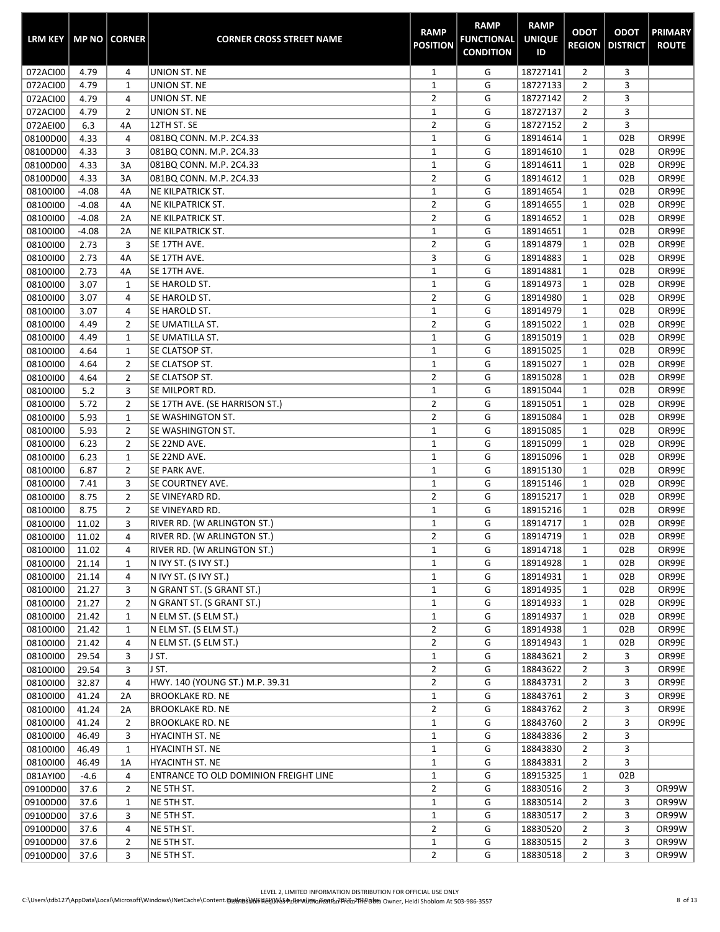| <b>LRM KEY</b> |         | <b>MP NO   CORNER</b> | <b>CORNER CROSS STREET NAME</b>       | <b>RAMP</b><br><b>POSITION</b> | <b>RAMP</b><br><b>FUNCTIONAL</b><br><b>CONDITION</b> | <b>RAMP</b><br><b>UNIQUE</b><br>ID | <b>ODOT</b><br><b>REGION</b> | <b>ODOT</b><br><b>DISTRICT</b> | <b>PRIMARY</b><br><b>ROUTE</b> |
|----------------|---------|-----------------------|---------------------------------------|--------------------------------|------------------------------------------------------|------------------------------------|------------------------------|--------------------------------|--------------------------------|
| 072ACI00       | 4.79    | 4                     | UNION ST. NE                          | 1                              | G                                                    | 18727141                           | 2                            | 3                              |                                |
| 072ACI00       | 4.79    | $\mathbf{1}$          | UNION ST. NE                          | $\mathbf 1$                    | G                                                    | 18727133                           | $\overline{2}$               | 3                              |                                |
| 072ACI00       | 4.79    | 4                     | UNION ST. NE                          | 2                              | G                                                    | 18727142                           | 2                            | 3                              |                                |
| 072ACI00       | 4.79    | $\overline{2}$        | UNION ST. NE                          | $\mathbf 1$                    | G                                                    | 18727137                           | $\overline{2}$               | 3                              |                                |
| 072AEI00       | 6.3     | 4A                    | 12TH ST. SE                           | $\mathbf 2$                    | G                                                    | 18727152                           | $\overline{2}$               | 3                              |                                |
| 08100D00       | 4.33    | 4                     | 081BQ CONN. M.P. 2C4.33               | $\mathbf{1}$                   | G                                                    | 18914614                           | $\mathbf 1$                  | 02B                            | OR99E                          |
| 08100D00       | 4.33    | 3                     | 081BQ CONN. M.P. 2C4.33               | $\mathbf 1$                    | G                                                    | 18914610                           | $\mathbf{1}$                 | 02B                            | OR99E                          |
| 08100D00       | 4.33    | 3A                    | 081BQ CONN. M.P. 2C4.33               | $\mathbf 1$                    | G                                                    | 18914611                           | $\mathbf{1}$                 | 02B                            | OR99E                          |
| 08100D00       | 4.33    | 3A                    | 081BQ CONN. M.P. 2C4.33               | $\overline{2}$                 | G                                                    | 18914612                           | $\mathbf{1}$                 | 02B                            | OR99E                          |
| 08100100       | $-4.08$ | 4A                    | <b>NE KILPATRICK ST.</b>              | $\mathbf 1$                    | G                                                    | 18914654                           | $\mathbf{1}$                 | 02B                            | OR99E                          |
| 08100100       | $-4.08$ | 4A                    | <b>NE KILPATRICK ST.</b>              | $\overline{2}$                 | G                                                    | 18914655                           | $\mathbf{1}$                 | 02B                            | OR99E                          |
| 08100100       | $-4.08$ | 2A                    | NE KILPATRICK ST.                     | $\overline{2}$                 | G                                                    | 18914652                           | $\mathbf 1$                  | 02B                            | OR99E                          |
| 08100100       | $-4.08$ | 2A                    | NE KILPATRICK ST.                     | $\mathbf 1$                    | G                                                    | 18914651                           | $\mathbf{1}$                 | 02B                            | OR99E                          |
| 08100100       | 2.73    | 3                     | SE 17TH AVE.                          | $\overline{2}$                 | G                                                    | 18914879                           | $\mathbf 1$                  | 02B                            | OR99E                          |
| 08100100       | 2.73    | 4A                    | SE 17TH AVE.                          | 3                              | G                                                    | 18914883                           | $\mathbf{1}$                 | 02B                            | OR99E                          |
| 08100100       | 2.73    | 4A                    | SE 17TH AVE.                          | $\mathbf{1}$                   | G                                                    | 18914881                           | $\mathbf{1}$                 | 02B                            | OR99E                          |
| 08100100       | 3.07    | 1                     | SE HAROLD ST.                         | $\mathbf{1}$                   | G                                                    | 18914973                           | $\mathbf{1}$                 | 02B                            | OR99E                          |
| 08100100       | 3.07    | 4                     | SE HAROLD ST.                         | $\overline{2}$                 | G                                                    | 18914980                           | $\mathbf{1}$                 | 02B                            | OR99E                          |
| 08100100       | 3.07    | 4                     | SE HAROLD ST.                         | $\mathbf 1$                    | G                                                    | 18914979                           | $\mathbf{1}$                 | 02B                            | OR99E                          |
| 08100100       | 4.49    | $\overline{2}$        | SE UMATILLA ST.                       | $\overline{2}$                 | G                                                    | 18915022                           | $\mathbf{1}$                 | 02B                            | OR99E                          |
| 08100100       | 4.49    | 1                     | SE UMATILLA ST.                       | $\mathbf 1$                    | G                                                    | 18915019                           | $\mathbf{1}$                 | 02B                            | OR99E                          |
| 08100100       | 4.64    | $\mathbf{1}$          | SE CLATSOP ST.                        | $\mathbf 1$                    | G                                                    | 18915025                           | $\mathbf 1$                  | 02B                            | OR99E                          |
| 08100100       | 4.64    | $\overline{2}$        | SE CLATSOP ST.                        | $\mathbf 1$                    | G                                                    | 18915027                           | $\mathbf 1$                  | 02B                            | OR99E                          |
| 08100100       | 4.64    | $\overline{2}$        | SE CLATSOP ST.                        | $\mathbf 2$                    | G                                                    | 18915028                           | $\mathbf{1}$                 | 02B                            | OR99E                          |
| 08100100       | 5.2     | 3                     | SE MILPORT RD.                        | $\mathbf 1$                    | G                                                    | 18915044                           | $\mathbf{1}$                 | 02B                            | OR99E                          |
| 08100100       | 5.72    | $\overline{2}$        | SE 17TH AVE. (SE HARRISON ST.)        | $\mathbf 2$                    | G                                                    | 18915051                           | $1\,$                        | 02B                            | OR99E                          |
| 08100100       | 5.93    | $\mathbf{1}$          | SE WASHINGTON ST.                     | $\mathbf 2$                    | G                                                    | 18915084                           | $\mathbf 1$                  | 02B                            | OR99E                          |
| 08100100       | 5.93    | 2                     | SE WASHINGTON ST.                     | $\mathbf 1$                    | G                                                    | 18915085                           | $\mathbf{1}$                 | 02B                            | OR99E                          |
| 08100100       | 6.23    | 2                     | SE 22ND AVE.                          | $\mathbf 1$                    | G                                                    | 18915099                           | $\mathbf 1$                  | 02B                            | OR99E                          |
| 08100100       | 6.23    | 1                     | SE 22ND AVE.                          | $\mathbf 1$                    | G                                                    | 18915096                           | $\mathbf{1}$                 | 02B                            | OR99E                          |
| 08100100       | 6.87    | $\overline{2}$        | SE PARK AVE.                          | $\mathbf{1}$                   | G                                                    | 18915130                           | $\mathbf 1$                  | 02B                            | OR99E                          |
| 08100100       | 7.41    | 3                     | SE COURTNEY AVE.                      | $\mathbf 1$                    | G                                                    | 18915146                           | $\mathbf{1}$                 | 02B                            | OR99E                          |
| 08100100       | 8.75    | $\overline{2}$        | SE VINEYARD RD.                       | $\overline{2}$                 | G                                                    | 18915217                           | $\mathbf{1}$                 | 02B                            | OR99E                          |
| 08100100       | 8.75    | $\overline{2}$        | SE VINEYARD RD.                       | $\mathbf 1$                    | G                                                    | 18915216                           | $\mathbf{1}$                 | 02B                            | OR99E                          |
| 08100100       | 11.02   | 3                     | RIVER RD. (W ARLINGTON ST.)           | $\mathbf 1$                    | G                                                    | 18914717                           | $\mathbf{1}$                 | 02B                            | OR99E                          |
| 08100100       | 11.02   | 4                     | RIVER RD. (W ARLINGTON ST.)           | $\overline{2}$                 | G                                                    | 18914719                           | $\mathbf{1}$                 | 02B                            | OR99E                          |
| 08100100       | 11.02   | 4                     | RIVER RD. (W ARLINGTON ST.)           | 1                              | G                                                    | 18914718                           | 1                            | 02B                            | OR99E                          |
| 08100100       | 21.14   | 1                     | N IVY ST. (S IVY ST.)                 | $\mathbf{1}$                   | G                                                    | 18914928                           | $\mathbf{1}$                 | 02B                            | OR99E                          |
| 08100100       | 21.14   | 4                     | N IVY ST. (S IVY ST.)                 | $\mathbf{1}$                   | G                                                    | 18914931                           | $\mathbf{1}$                 | 02B                            | OR99E                          |
| 08100100       | 21.27   | 3                     | N GRANT ST. (S GRANT ST.)             | $\mathbf{1}$                   | G                                                    | 18914935                           | $\mathbf{1}$                 | 02B                            | OR99E                          |
| 08100100       | 21.27   | $\overline{2}$        | N GRANT ST. (S GRANT ST.)             | $\mathbf 1$                    | G                                                    | 18914933                           | $\mathbf{1}$                 | 02B                            | OR99E                          |
| 08100100       | 21.42   | 1                     | N ELM ST. (S ELM ST.)                 | $\mathbf{1}$                   | G                                                    | 18914937                           | $\mathbf{1}$                 | 02B                            | OR99E                          |
| 08100100       | 21.42   | $\mathbf 1$           | N ELM ST. (S ELM ST.)                 | $\overline{2}$                 | G                                                    | 18914938                           | $\mathbf{1}$                 | 02B                            | OR99E                          |
| 08100100       | 21.42   | 4                     | N ELM ST. (S ELM ST.)                 | $\overline{2}$                 | G                                                    | 18914943                           | $\mathbf{1}$                 | 02B                            | OR99E                          |
| 08100100       | 29.54   | 3                     | J ST.                                 | $\mathbf{1}$                   | G                                                    | 18843621                           | $\overline{2}$               | 3                              | OR99E                          |
| 08100100       | 29.54   | 3                     | J ST.                                 | $\overline{2}$                 | G                                                    | 18843622                           | $\overline{2}$               | 3                              | OR99E                          |
| 08100100       | 32.87   | $\overline{4}$        | HWY. 140 (YOUNG ST.) M.P. 39.31       | $\overline{2}$                 | G                                                    | 18843731                           | $\overline{2}$               | 3                              | OR99E                          |
| 08100100       | 41.24   | 2A                    | <b>BROOKLAKE RD. NE</b>               | $\mathbf{1}$                   | G                                                    | 18843761                           | $\overline{2}$               | 3                              | OR99E                          |
| 08100100       | 41.24   | 2A                    | <b>BROOKLAKE RD. NE</b>               | $\overline{2}$                 | G                                                    | 18843762                           | $\overline{2}$               | 3                              | OR99E                          |
| 08100100       | 41.24   | $\overline{2}$        | <b>BROOKLAKE RD. NE</b>               | $\mathbf{1}$                   | G                                                    | 18843760                           | $\overline{2}$               | 3                              | OR99E                          |
| 08100100       | 46.49   | 3                     | HYACINTH ST. NE                       | $\mathbf{1}$                   | G                                                    | 18843836                           | $\overline{2}$               | 3                              |                                |
| 08100100       | 46.49   | $\mathbf{1}$          | HYACINTH ST. NE                       | $\mathbf{1}$                   | G                                                    | 18843830                           | $\overline{2}$               | 3                              |                                |
| 08100100       | 46.49   | 1A                    | HYACINTH ST. NE                       | $\mathbf{1}$                   | G                                                    | 18843831                           | $\overline{2}$               | 3                              |                                |
| 081AYI00       | $-4.6$  | 4                     | ENTRANCE TO OLD DOMINION FREIGHT LINE | $\mathbf{1}$                   | G                                                    | 18915325                           | $\mathbf{1}$                 | 02B                            |                                |
| 09100D00       | 37.6    | $\overline{2}$        | NE 5TH ST.                            | $\overline{2}$                 | G                                                    | 18830516                           | $\overline{2}$               | 3                              | OR99W                          |
| 09100D00       | 37.6    | $\mathbf{1}$          | NE 5TH ST.                            | $\mathbf{1}$                   | G                                                    | 18830514                           | $\overline{2}$               | 3                              | OR99W                          |
| 09100D00       | 37.6    | 3                     | NE 5TH ST.                            | $\mathbf{1}$                   | G                                                    | 18830517                           | $\overline{2}$               | 3                              | OR99W                          |
| 09100D00       | 37.6    | 4                     | NE 5TH ST.                            | $\overline{2}$                 | G                                                    | 18830520                           | $\overline{2}$               | 3                              | OR99W                          |
| 09100D00       | 37.6    | $\overline{2}$        | NE 5TH ST.                            | $\mathbf{1}$                   | G                                                    | 18830515                           | $\overline{2}$               | 3                              | OR99W                          |
| 09100D00       | 37.6    | 3                     | NE 5TH ST.                            | $\overline{2}$                 | G                                                    | 18830518                           | $\overline{2}$               | 3                              | OR99W                          |

н.

ш.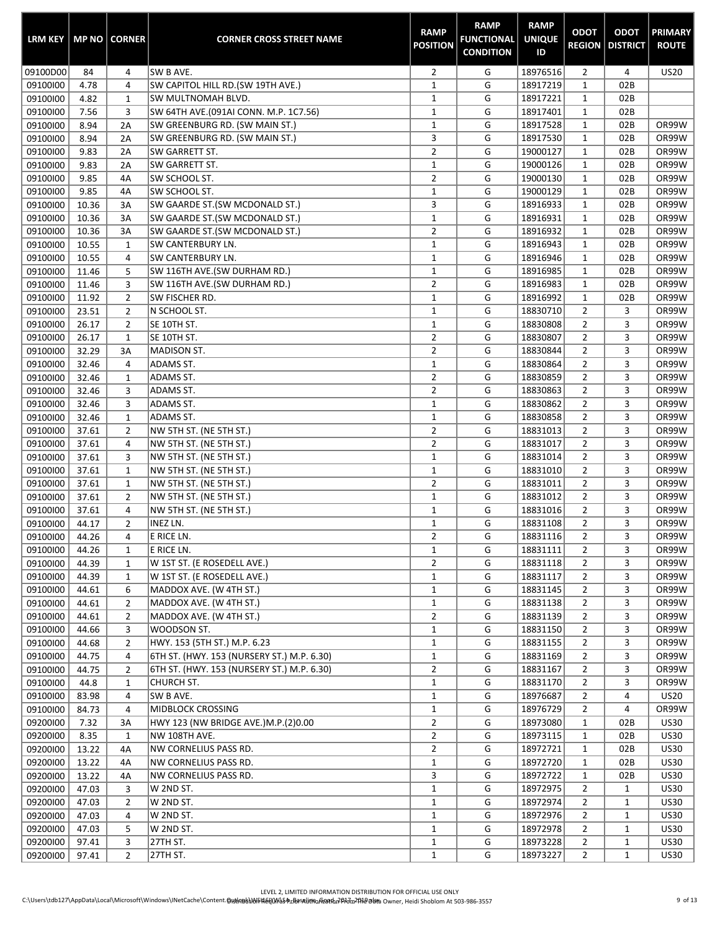| <b>LRM KEY</b>       |                | MP NO CORNER   | <b>CORNER CROSS STREET NAME</b>                                  | <b>RAMP</b><br><b>POSITION</b> | <b>RAMP</b><br><b>FUNCTIONAL</b><br><b>CONDITION</b> | <b>RAMP</b><br><b>UNIQUE</b><br>ID | <b>ODOT</b><br><b>REGION</b>     | <b>ODOT</b><br><b>DISTRICT</b> | <b>PRIMARY</b><br><b>ROUTE</b> |
|----------------------|----------------|----------------|------------------------------------------------------------------|--------------------------------|------------------------------------------------------|------------------------------------|----------------------------------|--------------------------------|--------------------------------|
| 09100D00             | 84             | 4              | SW B AVE.                                                        | $\overline{2}$                 | G                                                    | 18976516                           | $\overline{2}$                   | 4                              | <b>US20</b>                    |
| 09100100             | 4.78           | 4              | SW CAPITOL HILL RD.(SW 19TH AVE.)                                | $\mathbf 1$                    | G                                                    | 18917219                           | $\mathbf{1}$                     | 02B                            |                                |
| 09100100             | 4.82           | $\mathbf{1}$   | SW MULTNOMAH BLVD.                                               | $\mathbf 1$                    | G                                                    | 18917221                           | $\mathbf 1$                      | 02B                            |                                |
| 09100100             | 7.56           | 3              | SW 64TH AVE.(091AI CONN. M.P. 1C7.56)                            | $\mathbf 1$                    | G                                                    | 18917401                           | $\mathbf 1$                      | 02B                            |                                |
| 09100100             | 8.94           | 2A             | SW GREENBURG RD. (SW MAIN ST.)                                   | $\mathbf 1$                    | G                                                    | 18917528                           | $\mathbf 1$                      | 02B                            | OR99W                          |
| 09100100             | 8.94           | 2A             | SW GREENBURG RD. (SW MAIN ST.)                                   | 3                              | G                                                    | 18917530                           | $\mathbf{1}$                     | 02B                            | OR99W                          |
| 09100100             | 9.83           | 2A             | SW GARRETT ST.                                                   | 2                              | G                                                    | 19000127                           | $\mathbf{1}$                     | 02B                            | OR99W                          |
| 09100100             | 9.83           | 2A             | SW GARRETT ST.                                                   | $\mathbf 1$                    | G                                                    | 19000126                           | $\mathbf{1}$                     | 02B                            | OR99W                          |
| 09100100             | 9.85           | 4A             | SW SCHOOL ST.                                                    | $\overline{2}$                 | G                                                    | 19000130                           | $\mathbf{1}$                     | 02B                            | OR99W                          |
| 09100100             | 9.85           | 4A             | SW SCHOOL ST.                                                    | $\mathbf 1$                    | G                                                    | 19000129                           | $\mathbf 1$                      | 02B<br>02B                     | OR99W<br>OR99W                 |
| 09100100             | 10.36<br>10.36 | 3A             | SW GAARDE ST.(SW MCDONALD ST.)                                   | 3<br>$\mathbf 1$               | G<br>G                                               | 18916933<br>18916931               | $\mathbf 1$<br>$\mathbf 1$       | 02B                            | OR99W                          |
| 09100100<br>09100100 | 10.36          | 3A<br>3A       | SW GAARDE ST.(SW MCDONALD ST.)<br>SW GAARDE ST.(SW MCDONALD ST.) | $\overline{2}$                 | G                                                    | 18916932                           | $\mathbf 1$                      | 02B                            | OR99W                          |
| 09100100             | 10.55          | $\mathbf{1}$   | <b>SW CANTERBURY LN.</b>                                         | $\mathbf{1}$                   | G                                                    | 18916943                           | $\mathbf 1$                      | 02B                            | OR99W                          |
| 09100100             | 10.55          | 4              | <b>SW CANTERBURY LN.</b>                                         | $\mathbf{1}$                   | G                                                    | 18916946                           | $\mathbf{1}$                     | 02B                            | OR99W                          |
| 09100100             | 11.46          | 5              | SW 116TH AVE.(SW DURHAM RD.)                                     | $\mathbf 1$                    | G                                                    | 18916985                           | $\mathbf{1}$                     | 02B                            | OR99W                          |
| 09100100             | 11.46          | 3              | SW 116TH AVE.(SW DURHAM RD.)                                     | $\overline{2}$                 | G                                                    | 18916983                           | $\mathbf 1$                      | 02B                            | OR99W                          |
| 09100100             | 11.92          | $\overline{2}$ | SW FISCHER RD.                                                   | $\mathbf 1$                    | G                                                    | 18916992                           | $\mathbf{1}$                     | 02B                            | OR99W                          |
| 09100100             | 23.51          | $\overline{2}$ | N SCHOOL ST.                                                     | $\mathbf 1$                    | G                                                    | 18830710                           | $\overline{2}$                   | 3                              | OR99W                          |
| 09100100             | 26.17          | $\overline{2}$ | SE 10TH ST.                                                      | $\mathbf 1$                    | G                                                    | 18830808                           | $\overline{2}$                   | 3                              | OR99W                          |
| 09100100             | 26.17          | $\mathbf{1}$   | SE 10TH ST.                                                      | 2                              | G                                                    | 18830807                           | $\overline{2}$                   | 3                              | OR99W                          |
| 09100100             | 32.29          | 3A             | MADISON ST.                                                      | 2                              | G                                                    | 18830844                           | $\overline{2}$                   | 3                              | OR99W                          |
| 09100100             | 32.46          | 4              | <b>ADAMS ST.</b>                                                 | $\mathbf{1}$                   | G                                                    | 18830864                           | $\overline{2}$                   | 3                              | OR99W                          |
| 09100100             | 32.46          | $1\,$          | ADAMS ST.                                                        | $\overline{\mathbf{c}}$        | G                                                    | 18830859                           | $\overline{2}$                   | 3                              | OR99W                          |
| 09100100             | 32.46          | 3              | ADAMS ST.                                                        | $\overline{2}$                 | G                                                    | 18830863                           | $\overline{2}$                   | 3                              | OR99W                          |
| 09100100             | 32.46          | 3              | <b>ADAMS ST.</b>                                                 | $\mathbf 1$                    | G                                                    | 18830862                           | $\overline{2}$                   | 3                              | OR99W                          |
| 09100100             | 32.46          | $\mathbf{1}$   | ADAMS ST.                                                        | $\mathbf 1$                    | G                                                    | 18830858                           | $\overline{2}$                   | 3                              | OR99W                          |
| 09100100             | 37.61          | $\overline{2}$ | NW 5TH ST. (NE 5TH ST.)                                          | 2                              | G                                                    | 18831013                           | $\overline{2}$                   | 3                              | OR99W                          |
| 09100100             | 37.61          | 4              | NW 5TH ST. (NE 5TH ST.)                                          | $\overline{\mathbf{c}}$        | G                                                    | 18831017                           | $\overline{2}$                   | 3                              | OR99W                          |
| 09100100             | 37.61          | 3              | NW 5TH ST. (NE 5TH ST.)                                          | $\mathbf{1}$                   | G                                                    | 18831014                           | $\overline{2}$                   | 3                              | OR99W                          |
| 09100100             | 37.61          | $\mathbf{1}$   | NW 5TH ST. (NE 5TH ST.)                                          | $\mathbf{1}$                   | G                                                    | 18831010                           | $\overline{2}$                   | 3                              | OR99W                          |
| 09100100             | 37.61          | $\mathbf{1}$   | NW 5TH ST. (NE 5TH ST.)                                          | $\overline{2}$                 | G                                                    | 18831011                           | $\overline{2}$                   | 3                              | OR99W                          |
| 09100100             | 37.61          | $\overline{2}$ | NW 5TH ST. (NE 5TH ST.)                                          | $\mathbf{1}$                   | G                                                    | 18831012                           | $\overline{2}$                   | 3                              | OR99W                          |
| 09100100             | 37.61          | 4              | NW 5TH ST. (NE 5TH ST.)                                          | $\mathbf 1$                    | G                                                    | 18831016                           | $\overline{2}$                   | 3                              | OR99W                          |
| 09100100             | 44.17          | $\overline{2}$ | <b>INEZ LN.</b>                                                  | $\mathbf 1$                    | G                                                    | 18831108                           | $\overline{2}$                   | 3                              | OR99W                          |
| 09100100             | 44.26          | $\overline{4}$ | E RICE LN.                                                       | $\overline{2}$                 | G                                                    | 18831116                           | $\overline{2}$                   | 3                              | OR99W                          |
| 09100100             | 44.26          | $\mathbf{1}$   | E RICE LN.                                                       | 1                              | G                                                    | 18831111                           | 2                                | 3                              | OR99W                          |
| 09100100             | 44.39          | 1              | W 1ST ST. (E ROSEDELL AVE.)                                      | $\overline{2}$                 | G                                                    | 18831118                           | 2                                | 3                              | OR99W                          |
| 09100100             | 44.39          | 1              | W 1ST ST. (E ROSEDELL AVE.)                                      | $\mathbf{1}$                   | G                                                    | 18831117                           | $\overline{2}$                   | 3                              | OR99W                          |
| 09100100             | 44.61          | 6              | MADDOX AVE. (W 4TH ST.)                                          | $\mathbf{1}$                   | G                                                    | 18831145                           | $\overline{2}$                   | 3                              | OR99W                          |
| 09100100             | 44.61          | $\overline{2}$ | MADDOX AVE. (W 4TH ST.)                                          | $\mathbf 1$                    | G                                                    | 18831138                           | $\overline{2}$                   | 3                              | OR99W                          |
| 09100100             | 44.61          | $\overline{2}$ | MADDOX AVE. (W 4TH ST.)                                          | $\overline{2}$                 | G                                                    | 18831139                           | $\overline{2}$                   | 3                              | OR99W                          |
| 09100100             | 44.66          | 3              | WOODSON ST.                                                      | $\mathbf{1}$                   | G                                                    | 18831150                           | $\overline{2}$                   | 3                              | OR99W                          |
| 09100100             | 44.68          | $\overline{2}$ | HWY. 153 (5TH ST.) M.P. 6.23                                     | $\mathbf{1}$                   | G                                                    | 18831155                           | $\overline{2}$                   | 3                              | OR99W<br>OR99W                 |
| 09100100             | 44.75          | 4              | 6TH ST. (HWY. 153 (NURSERY ST.) M.P. 6.30)                       | $\mathbf{1}$                   | G                                                    | 18831169                           | $\overline{2}$                   | 3                              |                                |
| 09100100             | 44.75          | $\overline{2}$ | 6TH ST. (HWY. 153 (NURSERY ST.) M.P. 6.30)                       | $\overline{2}$<br>$\mathbf{1}$ | G<br>G                                               | 18831167<br>18831170               | $\overline{2}$                   | 3<br>3                         | OR99W                          |
| 09100100<br>09100100 | 44.8<br>83.98  | 1<br>4         | CHURCH ST.<br>SW B AVE.                                          | $\mathbf{1}$                   | G                                                    | 18976687                           | $\overline{2}$<br>$\overline{2}$ | 4                              | OR99W<br><b>US20</b>           |
| 09100100             | 84.73          | 4              | MIDBLOCK CROSSING                                                | $\mathbf{1}$                   | G                                                    | 18976729                           | $\overline{2}$                   | 4                              | OR99W                          |
| 09200100             | 7.32           | 3A             | HWY 123 (NW BRIDGE AVE.)M.P.(2)0.00                              | $\overline{2}$                 | G                                                    | 18973080                           | $\mathbf{1}$                     | 02B                            | <b>US30</b>                    |
| 09200100             | 8.35           | 1              | NW 108TH AVE.                                                    | $\overline{2}$                 | G                                                    | 18973115                           | $\mathbf{1}$                     | 02B                            | <b>US30</b>                    |
| 09200100             | 13.22          | 4A             | NW CORNELIUS PASS RD.                                            | $\overline{2}$                 | G                                                    | 18972721                           | $\mathbf{1}$                     | 02B                            | <b>US30</b>                    |
| 09200100             | 13.22          | 4A             | NW CORNELIUS PASS RD.                                            | $\mathbf{1}$                   | G                                                    | 18972720                           | $\mathbf{1}$                     | 02B                            | <b>US30</b>                    |
| 09200100             | 13.22          | 4A             | NW CORNELIUS PASS RD.                                            | 3                              | G                                                    | 18972722                           | $\mathbf{1}$                     | 02B                            | <b>US30</b>                    |
| 09200100             | 47.03          | 3              | W 2ND ST.                                                        | $\mathbf{1}$                   | G                                                    | 18972975                           | $\overline{2}$                   | $\mathbf{1}$                   | <b>US30</b>                    |
| 09200100             | 47.03          | $\overline{2}$ | W 2ND ST.                                                        | $\mathbf{1}$                   | G                                                    | 18972974                           | $\overline{2}$                   | $\mathbf{1}$                   | <b>US30</b>                    |
| 09200100             | 47.03          | 4              | W 2ND ST.                                                        | $\mathbf{1}$                   | G                                                    | 18972976                           | $\overline{2}$                   | $\mathbf{1}$                   | <b>US30</b>                    |
| 09200100             | 47.03          | 5              | W 2ND ST.                                                        | $\mathbf{1}$                   | G                                                    | 18972978                           | $\overline{2}$                   | $\mathbf{1}$                   | <b>US30</b>                    |
| 09200100             | 97.41          | 3              | 27TH ST.                                                         | $\mathbf{1}$                   | G                                                    | 18973228                           | $\overline{2}$                   | $\mathbf{1}$                   | <b>US30</b>                    |
| 09200100             | 97.41          | $\overline{2}$ | 27TH ST.                                                         | $\mathbf{1}$                   | G                                                    | 18973227                           | $\overline{2}$                   | $\mathbf{1}$                   | <b>US30</b>                    |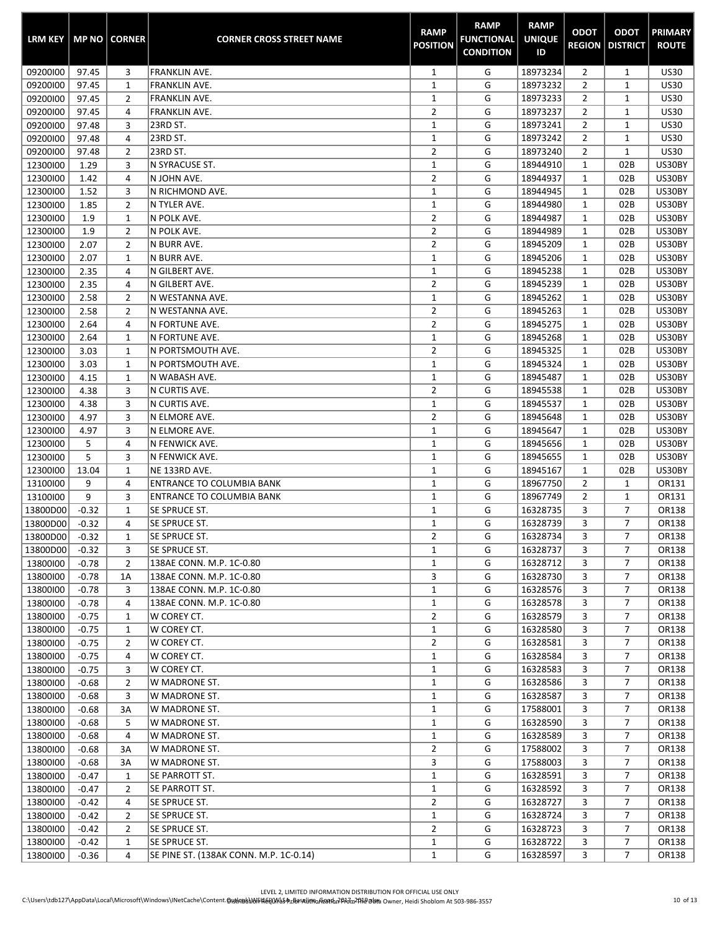| <b>LRM KEY</b>       |                    | <b>MP NO   CORNER</b> | <b>CORNER CROSS STREET NAME</b>                   | <b>RAMP</b><br><b>POSITION</b> | <b>RAMP</b><br><b>FUNCTIONAL</b><br><b>CONDITION</b> | <b>RAMP</b><br><b>UNIQUE</b><br>ID | <b>ODOT</b>                      | <b>ODOT</b><br><b>REGION   DISTRICT</b> | <b>PRIMARY</b><br><b>ROUTE</b> |
|----------------------|--------------------|-----------------------|---------------------------------------------------|--------------------------------|------------------------------------------------------|------------------------------------|----------------------------------|-----------------------------------------|--------------------------------|
| 09200100             | 97.45              | 3                     | FRANKLIN AVE.                                     | $\mathbf{1}$                   | G                                                    | 18973234                           | $\overline{2}$                   | $\mathbf{1}$                            | <b>US30</b>                    |
| 09200100             | 97.45              | 1                     | <b>FRANKLIN AVE.</b>                              | $\mathbf{1}$                   | G                                                    | 18973232                           | $\overline{2}$                   | $\mathbf{1}$                            | <b>US30</b>                    |
| 09200100             | 97.45              | 2                     | <b>FRANKLIN AVE.</b>                              | $\mathbf{1}$                   | G                                                    | 18973233                           | $\overline{2}$                   | $\mathbf 1$                             | <b>US30</b>                    |
| 09200100             | 97.45              | 4                     | <b>FRANKLIN AVE.</b>                              | $\overline{2}$                 | G                                                    | 18973237                           | 2                                | 1                                       | <b>US30</b>                    |
| 09200100             | 97.48              | 3                     | 23RD ST.                                          | $\mathbf 1$                    | G                                                    | 18973241                           | $\overline{2}$                   | $\mathbf{1}$                            | <b>US30</b>                    |
| 09200100             | 97.48              | 4                     | 23RD ST.                                          | $\mathbf{1}$                   | G                                                    | 18973242                           | $\overline{2}$                   | $\mathbf{1}$                            | <b>US30</b>                    |
| 09200100             | 97.48              | $\overline{2}$        | 23RD ST.                                          | $\overline{2}$                 | G                                                    | 18973240                           | $\overline{2}$                   | $1\,$                                   | <b>US30</b>                    |
| 12300100             | 1.29               | 3                     | N SYRACUSE ST.                                    | $\mathbf 1$                    | G                                                    | 18944910                           | $\mathbf 1$                      | 02B                                     | US30BY                         |
| 12300100             | 1.42               | 4                     | IN JOHN AVE.                                      | $\overline{2}$                 | G                                                    | 18944937                           | $\mathbf{1}$                     | 02B                                     | US30BY                         |
| 12300100             | 1.52               | 3                     | IN RICHMOND AVE.                                  | $\mathbf 1$<br>$\mathbf 1$     | G<br>G                                               | 18944945                           | $\mathbf{1}$                     | 02B                                     | US30BY                         |
| 12300100<br>12300100 | 1.85<br>1.9        | $\overline{2}$        | N TYLER AVE.<br>N POLK AVE.                       | $\overline{2}$                 | G                                                    | 18944980<br>18944987               | $\mathbf 1$<br>1                 | 02B<br>02B                              | US30BY<br>US30BY               |
| 12300100             | 1.9                | 1<br>2                | N POLK AVE.                                       | $\overline{2}$                 | G                                                    | 18944989                           | 1                                | 02B                                     | US30BY                         |
| 12300100             | 2.07               | $\overline{2}$        | N BURR AVE.                                       | $\overline{2}$                 | G                                                    | 18945209                           | $\mathbf 1$                      | 02B                                     | US30BY                         |
| 12300100             | 2.07               | $\mathbf{1}$          | N BURR AVE.                                       | $\mathbf 1$                    | G                                                    | 18945206                           | $\mathbf 1$                      | 02B                                     | US30BY                         |
| 12300100             | 2.35               | 4                     | ∣N GILBERT AVE.                                   | $\mathbf 1$                    | G                                                    | 18945238                           | 1                                | 02B                                     | US30BY                         |
| 12300100             | 2.35               | 4                     | ∣N GILBERT AVE.                                   | $\overline{2}$                 | G                                                    | 18945239                           | 1                                | 02B                                     | US30BY                         |
| 12300100             | 2.58               | $\overline{2}$        | ln westanna ave.                                  | $\mathbf{1}$                   | G                                                    | 18945262                           | 1                                | 02B                                     | US30BY                         |
| 12300100             | 2.58               | $\overline{2}$        | N WESTANNA AVE.                                   | $\overline{2}$                 | G                                                    | 18945263                           | 1                                | 02B                                     | US30BY                         |
| 12300100             | 2.64               | 4                     | IN FORTUNE AVE.                                   | $\overline{2}$                 | G                                                    | 18945275                           | 1                                | 02B                                     | US30BY                         |
| 12300100             | 2.64               | 1                     | IN FORTUNE AVE.                                   | $\mathbf 1$                    | G                                                    | 18945268                           | 1                                | 02B                                     | US30BY                         |
| 12300100             | 3.03               | 1                     | IN PORTSMOUTH AVE.                                | $\overline{2}$                 | G                                                    | 18945325                           | $\mathbf{1}$                     | 02B                                     | US30BY                         |
| 12300100             | 3.03               | 1                     | IN PORTSMOUTH AVE.                                | $\mathbf{1}$                   | G                                                    | 18945324                           | $\mathbf 1$                      | 02B                                     | US30BY                         |
| 12300100             | 4.15               | $\mathbf{1}$          | N WABASH AVE.                                     | $\mathbf 1$                    | G                                                    | 18945487                           | $\mathbf 1$                      | 02B                                     | US30BY                         |
| 12300100             | 4.38               | 3                     | N CURTIS AVE.                                     | $\overline{2}$                 | G                                                    | 18945538                           | 1                                | 02B                                     | US30BY                         |
| 12300100             | 4.38               | 3                     | N CURTIS AVE.                                     | $\mathbf 1$                    | G                                                    | 18945537                           | 1                                | 02B                                     | US30BY                         |
| 12300100             | 4.97               | 3                     | N ELMORE AVE.                                     | $\overline{2}$                 | G                                                    | 18945648                           | $\mathbf{1}$                     | 02B                                     | US30BY                         |
| 12300100             | 4.97               | 3                     | N ELMORE AVE.                                     | $\mathbf{1}$                   | G                                                    | 18945647                           | 1                                | 02B                                     | US30BY                         |
| 12300100             | 5                  | 4                     | IN FENWICK AVE.                                   | $\mathbf{1}$                   | G                                                    | 18945656                           | 1                                | 02B                                     | US30BY                         |
| 12300100             | 5                  | 3                     | N FENWICK AVE.                                    | $\mathbf{1}$                   | G                                                    | 18945655                           | 1                                | 02B                                     | US30BY                         |
| 12300100             | 13.04              | 1                     | NE 133RD AVE.                                     | $\mathbf 1$                    | G                                                    | 18945167                           | $\mathbf{1}$                     | 02B                                     | US30BY                         |
| 13100100             | 9<br>9             | 4                     | <b>ENTRANCE TO COLUMBIA BANK</b>                  | $\mathbf 1$<br>$\mathbf 1$     | G<br>G                                               | 18967750<br>18967749               | $\overline{2}$<br>$\overline{2}$ | $\mathbf{1}$<br>$\mathbf{1}$            | OR131                          |
| 13100100<br>13800D00 | $-0.32$            | 3<br>1                | <b>ENTRANCE TO COLUMBIA BANK</b><br>SE SPRUCE ST. | $\mathbf 1$                    | G                                                    | 16328735                           | 3                                | $\overline{7}$                          | OR131<br>OR138                 |
| 13800D00             | $-0.32$            | 4                     | SE SPRUCE ST.                                     | $\mathbf 1$                    | G                                                    | 16328739                           | 3                                | $\overline{7}$                          | OR138                          |
| 13800D00             | $-0.32$            | $\mathbf 1$           | SE SPRUCE ST.                                     | $\overline{2}$                 | G                                                    | 16328734                           | 3                                | $\overline{7}$                          | OR138                          |
| 13800D00             | $-0.32$            | 3                     | SE SPRUCE ST.                                     | $\mathbf{1}$                   | G                                                    | 16328737                           | 3                                | 7                                       | OR138                          |
| 13800100             | $-0.78$            | 2                     | 138AE CONN. M.P. 1C-0.80                          | 1                              | G                                                    | 16328712                           | 3                                | $\overline{7}$                          | OR138                          |
| 13800100             | $-0.78$            | 1A                    | 138AE CONN. M.P. 1C-0.80                          | 3                              | G                                                    | 16328730                           | 3                                | $\overline{7}$                          | OR138                          |
| 13800100             | $-0.78$            | 3                     | 138AE CONN. M.P. 1C-0.80                          | $\mathbf{1}$                   | G                                                    | 16328576                           | 3                                | 7                                       | OR138                          |
| 13800100             | $-0.78$            | 4                     | 138AE CONN. M.P. 1C-0.80                          | $\mathbf{1}$                   | G                                                    | 16328578                           | 3                                | $\overline{7}$                          | OR138                          |
| 13800100             | $-0.75$            | 1                     | W COREY CT.                                       | $\overline{2}$                 | G                                                    | 16328579                           | 3                                | $\overline{7}$                          | OR138                          |
| 13800100             | $-0.75$            | 1                     | W COREY CT.                                       | $\mathbf{1}$                   | G                                                    | 16328580                           | 3                                | 7                                       | OR138                          |
| 13800100             | $-0.75$            | 2                     | W COREY CT.                                       | $\overline{2}$                 | G                                                    | 16328581                           | 3                                | $\overline{7}$                          | OR138                          |
| 13800100             | $-0.75$            | 4                     | W COREY CT.                                       | $\mathbf{1}$                   | G                                                    | 16328584                           | 3                                | 7                                       | OR138                          |
| 13800100             | $-0.75$            | 3                     | W COREY CT.                                       | 1                              | G                                                    | 16328583                           | 3                                | $\overline{7}$                          | OR138                          |
| 13800100             | $-0.68$            | $\overline{2}$        | W MADRONE ST.                                     | $\mathbf{1}$                   | G                                                    | 16328586                           | 3                                | $\overline{7}$                          | OR138                          |
| 13800100             | $-0.68$            | 3                     | W MADRONE ST.                                     | $\mathbf{1}$                   | G                                                    | 16328587                           | 3                                | $\overline{7}$                          | OR138                          |
| 13800100             | $-0.68$            | 3A                    | W MADRONE ST.                                     | $\mathbf{1}$                   | G                                                    | 17588001                           | 3                                | 7                                       | OR138                          |
| 13800100             | $-0.68$            | 5                     | W MADRONE ST.                                     | $\mathbf 1$                    | G                                                    | 16328590                           | 3                                | $\overline{7}$                          | OR138                          |
| 13800100             | $-0.68$            | 4                     | W MADRONE ST.                                     | $\mathbf{1}$                   | G                                                    | 16328589                           | 3                                | 7                                       | OR138                          |
| 13800100             | $-0.68$            | 3A                    | W MADRONE ST.                                     | $\overline{2}$                 | G                                                    | 17588002                           | 3                                | $\overline{7}$                          | OR138                          |
| 13800100             | $-0.68$            | 3A                    | W MADRONE ST.                                     | 3                              | G                                                    | 17588003                           | 3                                | 7<br>7                                  | OR138                          |
| 13800100             | $-0.47$<br>$-0.47$ | 1<br>2                | SE PARROTT ST.<br>SE PARROTT ST.                  | 1<br>$\mathbf{1}$              | G<br>G                                               | 16328591<br>16328592               | 3<br>3                           | $\overline{7}$                          | OR138<br>OR138                 |
| 13800100<br>13800100 | $-0.42$            | 4                     | SE SPRUCE ST.                                     | $\overline{2}$                 | G                                                    | 16328727                           | 3                                | $\overline{7}$                          | OR138                          |
| 13800100             | $-0.42$            | $\overline{2}$        | SE SPRUCE ST.                                     | $\mathbf{1}$                   | G                                                    | 16328724                           | 3                                | 7                                       | OR138                          |
| 13800100             | $-0.42$            | 2                     | SE SPRUCE ST.                                     | $\overline{2}$                 | G                                                    | 16328723                           | 3                                | $\overline{7}$                          | OR138                          |
| 13800100             | $-0.42$            | 1                     | SE SPRUCE ST.                                     | $\mathbf{1}$                   | G                                                    | 16328722                           | 3                                | $\overline{7}$                          | OR138                          |
| 13800100             | $-0.36$            | 4                     | SE PINE ST. (138AK CONN. M.P. 1C-0.14)            | $\mathbf{1}$                   | G                                                    | 16328597                           | 3                                | $\overline{7}$                          | OR138                          |

×.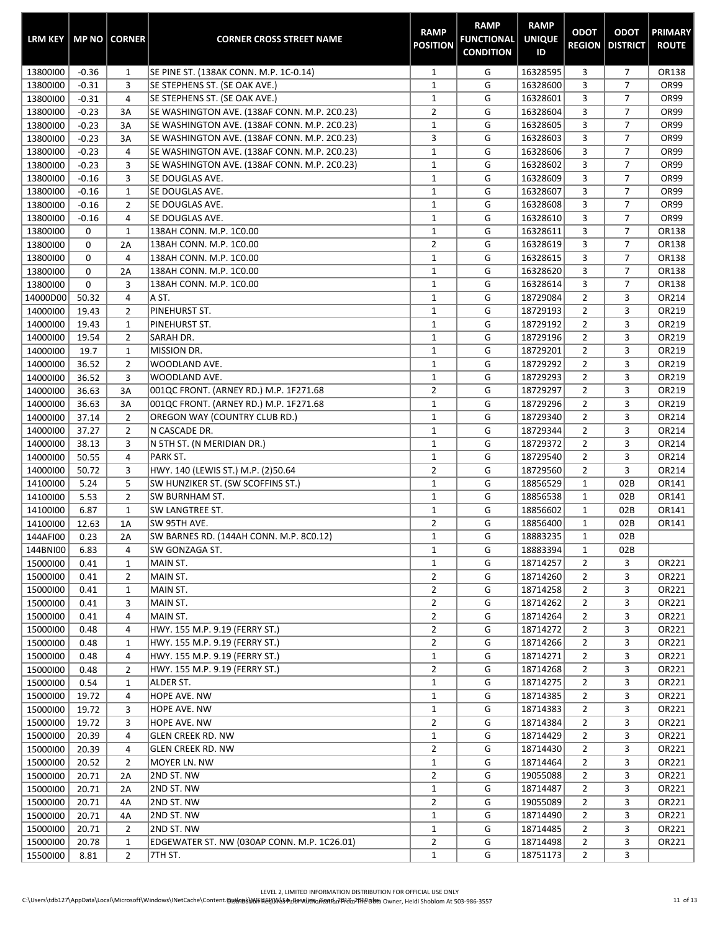| <b>LRM KEY</b> |         | MP NO CORNER   | <b>CORNER CROSS STREET NAME</b>              | <b>RAMP</b><br><b>POSITION</b> | <b>RAMP</b><br><b>FUNCTIONAL</b><br><b>CONDITION</b> | <b>RAMP</b><br><b>UNIQUE</b><br>ID | <b>ODOT</b><br><b>REGION</b> | <b>ODOT</b><br><b>DISTRICT</b> | <b>PRIMARY</b><br><b>ROUTE</b> |
|----------------|---------|----------------|----------------------------------------------|--------------------------------|------------------------------------------------------|------------------------------------|------------------------------|--------------------------------|--------------------------------|
| 13800100       | $-0.36$ | 1              | SE PINE ST. (138AK CONN. M.P. 1C-0.14)       | 1                              | G                                                    | 16328595                           | 3                            | 7                              | OR138                          |
| 13800100       | $-0.31$ | 3              | SE STEPHENS ST. (SE OAK AVE.)                | $\mathbf 1$                    | G                                                    | 16328600                           | 3                            | $\overline{7}$                 | OR99                           |
| 13800100       | $-0.31$ | $\overline{4}$ | SE STEPHENS ST. (SE OAK AVE.)                | $\mathbf 1$                    | G                                                    | 16328601                           | 3                            | 7                              | <b>OR99</b>                    |
| 13800100       | $-0.23$ | 3A             | SE WASHINGTON AVE. (138AF CONN. M.P. 2C0.23) | $\overline{2}$                 | G                                                    | 16328604                           | 3                            | 7                              | <b>OR99</b>                    |
| 13800100       | $-0.23$ | 3A             | SE WASHINGTON AVE. (138AF CONN. M.P. 2C0.23) | $\mathbf 1$                    | G                                                    | 16328605                           | 3                            | $\overline{7}$                 | OR99                           |
| 13800100       | $-0.23$ | 3A             | SE WASHINGTON AVE. (138AF CONN. M.P. 2C0.23) | 3                              | G                                                    | 16328603                           | 3                            | $\overline{7}$                 | <b>OR99</b>                    |
| 13800100       | $-0.23$ | 4              | SE WASHINGTON AVE. (138AF CONN. M.P. 2C0.23) | $\mathbf 1$                    | G                                                    | 16328606                           | 3                            | $\overline{7}$                 | <b>OR99</b>                    |
| 13800100       | $-0.23$ | 3              | SE WASHINGTON AVE. (138AF CONN. M.P. 2C0.23) | $\mathbf 1$                    | G                                                    | 16328602                           | 3                            | $\overline{7}$                 | <b>OR99</b>                    |
| 13800100       | $-0.16$ | 3              | SE DOUGLAS AVE.                              | $\mathbf{1}$                   | G                                                    | 16328609                           | 3                            | $\overline{7}$                 | <b>OR99</b>                    |
| 13800100       | $-0.16$ | $\mathbf{1}$   | SE DOUGLAS AVE.                              | $\mathbf{1}$                   | G                                                    | 16328607                           | 3                            | $\overline{7}$                 | <b>OR99</b>                    |
| 13800100       | $-0.16$ | $\overline{2}$ | SE DOUGLAS AVE.                              | $\mathbf 1$                    | G                                                    | 16328608                           | 3                            | 7                              | <b>OR99</b>                    |
| 13800100       | $-0.16$ | 4              | SE DOUGLAS AVE.                              | $\mathbf 1$                    | G                                                    | 16328610                           | 3                            | 7                              | <b>OR99</b>                    |
| 13800100       | 0       | $\mathbf{1}$   | 138AH CONN. M.P. 1C0.00                      | $\mathbf 1$                    | G                                                    | 16328611                           | 3                            | $\overline{7}$                 | OR138                          |
| 13800100       | 0       | 2A             | 138AH CONN. M.P. 1C0.00                      | $\mathbf 2$                    | G                                                    | 16328619                           | 3                            | $\overline{7}$                 | OR138                          |
| 13800100       | 0       | 4              | 138AH CONN. M.P. 1C0.00                      | $\mathbf{1}$                   | G                                                    | 16328615                           | 3                            | $\overline{7}$                 | OR138                          |
| 13800100       | 0       | 2A             | 138AH CONN. M.P. 1C0.00                      | $\mathbf 1$                    | G                                                    | 16328620                           | 3                            | $\overline{7}$                 | OR138                          |
| 13800100       | 0       | 3              | 138AH CONN. M.P. 1C0.00                      | $\mathbf{1}$                   | G                                                    | 16328614                           | 3                            | $\overline{7}$                 | OR138                          |
| 14000D00       | 50.32   | 4              | A ST.                                        | $\mathbf 1$                    | G                                                    | 18729084                           | $\overline{2}$               | 3                              | OR214                          |
| 14000100       | 19.43   | $\overline{2}$ | PINEHURST ST.                                | $\mathbf 1$                    | G                                                    | 18729193                           | $\overline{2}$               | 3                              | OR219                          |
| 14000100       | 19.43   | $\mathbf{1}$   | PINEHURST ST.                                | $\mathbf 1$                    | G                                                    | 18729192                           | $\overline{2}$               | 3                              | OR219                          |
| 14000100       | 19.54   | $\overline{2}$ | SARAH DR.                                    | $\mathbf 1$                    | G                                                    | 18729196                           | $\overline{2}$               | 3                              | OR219                          |
| 14000100       | 19.7    | $\mathbf{1}$   | MISSION DR.                                  | $\mathbf 1$                    | G                                                    | 18729201                           | $\overline{2}$               | 3                              | OR219                          |
| 14000100       | 36.52   | $\overline{2}$ | WOODLAND AVE.                                | $\mathbf 1$                    | G                                                    | 18729292                           | $\overline{2}$               | 3                              | OR219                          |
| 14000100       | 36.52   | 3              | WOODLAND AVE.                                | $\mathbf 1$                    | G                                                    | 18729293                           | $\overline{2}$               | 3                              | OR219                          |
| 14000100       | 36.63   | 3A             | 001QC FRONT. (ARNEY RD.) M.P. 1F271.68       | $\mathbf 2$                    | G                                                    | 18729297                           | $\overline{2}$               | 3                              | OR219                          |
| 14000100       | 36.63   | 3A             | 001QC FRONT. (ARNEY RD.) M.P. 1F271.68       | $\mathbf 1$                    | G                                                    | 18729296                           | $\overline{2}$               | 3                              | OR219                          |
| 14000100       | 37.14   | $\overline{2}$ | OREGON WAY (COUNTRY CLUB RD.)                | $\mathbf 1$                    | G                                                    | 18729340                           | $\overline{2}$               | 3                              | OR214                          |
| 14000100       | 37.27   | $\overline{2}$ | N CASCADE DR.                                | $\mathbf 1$                    | G                                                    | 18729344                           | $\overline{2}$               | 3                              | OR214                          |
| 14000100       | 38.13   | 3              | N 5TH ST. (N MERIDIAN DR.)                   | $\mathbf 1$                    | G                                                    | 18729372                           | $\overline{2}$               | 3                              | OR214                          |
| 14000100       | 50.55   | $\overline{4}$ | PARK ST.                                     | $\mathbf 1$                    | G                                                    | 18729540                           | $\overline{2}$               | 3                              | OR214                          |
| 14000100       | 50.72   | 3              | HWY. 140 (LEWIS ST.) M.P. (2)50.64           | $\overline{2}$                 | G                                                    | 18729560                           | $\overline{2}$               | 3                              | OR214                          |
| 14100100       | 5.24    | 5              | SW HUNZIKER ST. (SW SCOFFINS ST.)            | $\mathbf{1}$                   | G                                                    | 18856529                           | $\mathbf 1$                  | 02B                            | OR141                          |
| 14100100       | 5.53    | $\overline{2}$ | <b>SW BURNHAM ST.</b>                        | $\mathbf 1$                    | G                                                    | 18856538                           | $\mathbf{1}$                 | 02B                            | OR141                          |
| 14100100       | 6.87    | $\mathbf{1}$   | SW LANGTREE ST.                              | $\mathbf 1$                    | G                                                    | 18856602                           | $\mathbf{1}$                 | 02B                            | OR141                          |
| 14100100       | 12.63   | 1A             | SW 95TH AVE.                                 | $\overline{2}$                 | G                                                    | 18856400                           | $\mathbf{1}$                 | 02B                            | OR141                          |
| 144AFI00       | 0.23    | 2A             | SW BARNES RD. (144AH CONN. M.P. 8C0.12)      | $\mathbf{1}$                   | G                                                    | 18883235                           | $\mathbf{1}$                 | 02B                            |                                |
| 144BNI00       | 6.83    | 4              | SW GONZAGA ST.                               | $\mathbf 1$                    | G                                                    | 18883394                           | $1\,$                        | 02B                            |                                |
| 15000100       | 0.41    | 1              | MAIN ST.                                     | 1                              | G                                                    | 18714257                           | 2                            | 3                              | OR221                          |
| 15000100       | 0.41    | $\overline{2}$ | MAIN ST.                                     | $\overline{2}$                 | G                                                    | 18714260                           | 2                            | 3                              | OR221                          |
| 15000100       | 0.41    | $\mathbf{1}$   | MAIN ST.                                     | $\overline{2}$                 | G                                                    | 18714258                           | $\overline{2}$               | 3                              | OR221                          |
| 15000100       | 0.41    | 3              | MAIN ST.                                     | $\overline{2}$                 | G                                                    | 18714262                           | $\overline{2}$               | 3                              | OR221                          |
| 15000100       | 0.41    | 4              | MAIN ST.                                     | $\overline{2}$                 | G                                                    | 18714264                           | $\overline{2}$               | 3                              | OR221                          |
| 15000100       | 0.48    | 4              | HWY. 155 M.P. 9.19 (FERRY ST.)               | $\overline{2}$                 | G                                                    | 18714272                           | $\overline{2}$               | 3                              | OR221                          |
| 15000100       | 0.48    | 1              | HWY. 155 M.P. 9.19 (FERRY ST.)               | $\overline{2}$                 | G                                                    | 18714266                           | $\overline{2}$               | 3                              | OR221                          |
| 15000100       | 0.48    | 4              | HWY. 155 M.P. 9.19 (FERRY ST.)               | $\mathbf{1}$                   | G                                                    | 18714271                           | $\overline{2}$               | 3                              | OR221                          |
| 15000100       | 0.48    | $\overline{2}$ | HWY. 155 M.P. 9.19 (FERRY ST.)               | $\overline{2}$                 | G                                                    | 18714268                           | $\overline{2}$               | 3                              | OR221                          |
| 15000100       | 0.54    | 1              | ALDER ST.                                    | $\mathbf{1}$                   | G                                                    | 18714275                           | $\overline{2}$               | 3                              | OR221                          |
| 15000100       | 19.72   | 4              | <b>HOPE AVE. NW</b>                          | $\mathbf{1}$                   | G                                                    | 18714385                           | $\overline{2}$               | 3                              | OR221                          |
| 15000100       | 19.72   | 3              | <b>HOPE AVE. NW</b>                          | $\mathbf{1}$                   | G                                                    | 18714383                           | $\overline{2}$               | 3                              | OR221                          |
| 15000100       | 19.72   | 3              | <b>HOPE AVE. NW</b>                          | $\overline{2}$                 | G                                                    | 18714384                           | $\overline{2}$               | 3                              | OR221                          |
| 15000100       | 20.39   | 4              | <b>GLEN CREEK RD. NW</b>                     | $\mathbf{1}$                   | G                                                    | 18714429                           | $\overline{2}$               | 3                              | OR221                          |
| 15000100       | 20.39   | 4              | <b>GLEN CREEK RD. NW</b>                     | $\overline{2}$                 | G                                                    | 18714430                           | $\overline{2}$               | 3                              | OR221                          |
| 15000100       | 20.52   | $\overline{2}$ | MOYER LN. NW                                 | $\mathbf{1}$                   | G                                                    | 18714464                           | $\overline{2}$               | 3                              | OR221                          |
| 15000100       | 20.71   | 2A             | 2ND ST. NW                                   | $\overline{2}$                 | G                                                    | 19055088                           | $\overline{2}$               | 3                              | OR221                          |
| 15000100       | 20.71   | 2A             | 2ND ST. NW                                   | $\mathbf{1}$                   | G                                                    | 18714487                           | $\overline{2}$               | 3                              | OR221                          |
| 15000100       | 20.71   | 4A             | 2ND ST. NW                                   | $\overline{2}$                 | G                                                    | 19055089                           | $\overline{2}$               | 3                              | OR221                          |
| 15000100       | 20.71   | 4A             | 2ND ST. NW                                   | $\mathbf{1}$                   | G                                                    | 18714490                           | $\overline{2}$               | 3                              | OR221                          |
| 15000100       | 20.71   | 2              | 2ND ST. NW                                   | $\mathbf{1}$                   | G                                                    | 18714485                           | $\overline{2}$               | 3                              | OR221                          |
| 15000100       | 20.78   | 1              | EDGEWATER ST. NW (030AP CONN. M.P. 1C26.01)  | $\overline{2}$                 | G                                                    | 18714498                           | $\overline{2}$               | 3                              | OR221                          |
| 15500100       | 8.81    | $\overline{2}$ | 7TH ST.                                      | $\mathbf{1}$                   | G                                                    | 18751173                           | $\overline{2}$               | 3                              |                                |
|                |         |                |                                              |                                |                                                      |                                    |                              |                                |                                |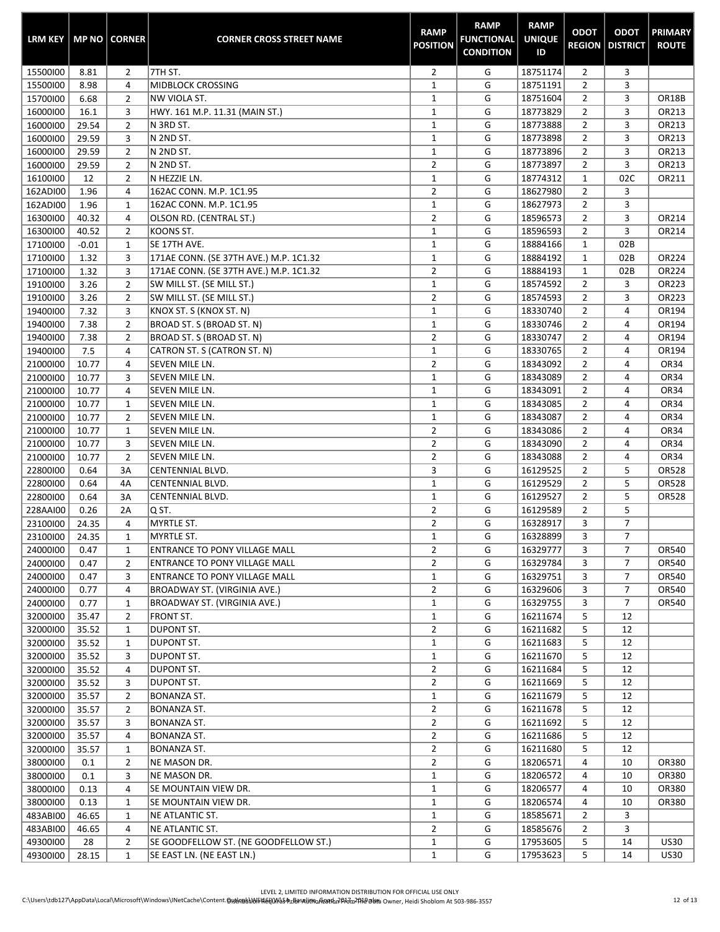| <b>LRM KEY</b> |         | <b>MP NO   CORNER</b> | <b>CORNER CROSS STREET NAME</b>        | <b>RAMP</b><br><b>POSITION</b> | <b>RAMP</b><br><b>FUNCTIONAL</b><br><b>CONDITION</b> | <b>RAMP</b><br><b>UNIQUE</b><br>ID | <b>ODOT</b>    | <b>ODOT</b><br><b>REGION   DISTRICT</b> | <b>PRIMARY</b><br><b>ROUTE</b> |
|----------------|---------|-----------------------|----------------------------------------|--------------------------------|------------------------------------------------------|------------------------------------|----------------|-----------------------------------------|--------------------------------|
| 15500100       | 8.81    | 2                     | 7TH ST.                                | $\overline{2}$                 | G                                                    | 18751174                           | $\overline{2}$ | 3                                       |                                |
| 15500100       | 8.98    | 4                     | <b>MIDBLOCK CROSSING</b>               | $\mathbf 1$                    | G                                                    | 18751191                           | $\overline{2}$ | 3                                       |                                |
| 15700100       | 6.68    | $\overline{2}$        | NW VIOLA ST.                           | $\mathbf 1$                    | G                                                    | 18751604                           | $\overline{2}$ | 3                                       | OR18B                          |
| 16000100       | 16.1    | 3                     | HWY. 161 M.P. 11.31 (MAIN ST.)         | $\mathbf 1$                    | G                                                    | 18773829                           | 2              | 3                                       | OR213                          |
| 16000100       | 29.54   | $\overline{2}$        | N 3RD ST.                              | $\mathbf 1$                    | G                                                    | 18773888                           | $\overline{2}$ | 3                                       | OR213                          |
| 16000100       | 29.59   | 3                     | N 2ND ST.                              | $\mathbf{1}$                   | G                                                    | 18773898                           | $\overline{2}$ | 3                                       | OR213                          |
| 16000100       | 29.59   | $\overline{2}$        | N 2ND ST.                              | $\mathbf 1$                    | G                                                    | 18773896                           | $\overline{2}$ | 3                                       | OR213                          |
| 16000100       | 29.59   | $\overline{2}$        | N 2ND ST.                              | $\overline{2}$                 | G                                                    | 18773897                           | $\overline{2}$ | 3                                       | OR213                          |
| 16100100       | 12      | $\overline{2}$        | N HEZZIE LN.                           | $\mathbf 1$                    | G                                                    | 18774312                           | $\mathbf{1}$   | 02C                                     | OR211                          |
| 162ADI00       | 1.96    | 4                     | 162AC CONN. M.P. 1C1.95                | $\mathbf{2}$                   | G                                                    | 18627980                           | $\overline{2}$ | 3                                       |                                |
| 162ADI00       | 1.96    | $\mathbf{1}$          | 162AC CONN. M.P. 1C1.95                | $\mathbf 1$                    | G                                                    | 18627973                           | $\overline{2}$ | 3                                       |                                |
| 16300100       | 40.32   | 4                     | OLSON RD. (CENTRAL ST.)                | $\overline{2}$                 | G                                                    | 18596573                           | 2              | 3                                       | OR214                          |
| 16300100       | 40.52   | $\overline{2}$        | KOONS ST.                              | $\mathbf 1$                    | G                                                    | 18596593                           | $\overline{2}$ | 3                                       | OR214                          |
| 17100100       | $-0.01$ | $\mathbf{1}$          | SE 17TH AVE.                           | $\mathbf 1$                    | G                                                    | 18884166                           | $\mathbf 1$    | 02B                                     |                                |
| 17100100       | 1.32    | 3                     | 171AE CONN. (SE 37TH AVE.) M.P. 1C1.32 | $\mathbf 1$                    | G                                                    | 18884192                           | $\mathbf 1$    | 02B                                     | OR224                          |
| 17100100       | 1.32    | 3                     | 171AE CONN. (SE 37TH AVE.) M.P. 1C1.32 | $\overline{2}$                 | G                                                    | 18884193                           | $\mathbf{1}$   | 02B                                     | OR224                          |
| 19100100       | 3.26    | $\overline{2}$        | SW MILL ST. (SE MILL ST.)              | $\mathbf 1$                    | G                                                    | 18574592                           | $\overline{2}$ | 3                                       | OR223                          |
| 19100100       | 3.26    | $\overline{2}$        | SW MILL ST. (SE MILL ST.)              | $\overline{2}$                 | G                                                    | 18574593                           | $\overline{2}$ | 3                                       | OR223                          |
| 19400100       | 7.32    | 3                     | KNOX ST. S (KNOX ST. N)                | $\mathbf 1$                    | G                                                    | 18330740                           | $\overline{2}$ | 4                                       | OR194                          |
| 19400100       | 7.38    | $\overline{2}$        | BROAD ST. S (BROAD ST. N)              | $\mathbf 1$                    | G                                                    | 18330746                           | $\overline{2}$ | 4                                       | OR194                          |
| 19400100       | 7.38    | $\overline{2}$        | BROAD ST. S (BROAD ST. N)              | $\overline{2}$                 | G                                                    | 18330747                           | $\overline{2}$ | 4                                       | OR194                          |
| 19400100       | 7.5     | 4                     | CATRON ST. S (CATRON ST. N)            | $\mathbf 1$                    | G                                                    | 18330765                           | $\overline{2}$ | 4                                       | OR194                          |
| 21000100       | 10.77   | 4                     | SEVEN MILE LN.                         | $\overline{2}$                 | G                                                    | 18343092                           | $\overline{2}$ | 4                                       | OR34                           |
| 21000100       | 10.77   | 3                     | SEVEN MILE LN.                         | $\mathbf{1}$                   | G                                                    | 18343089                           | $\overline{2}$ | 4                                       | <b>OR34</b>                    |
| 21000100       | 10.77   | 4                     | SEVEN MILE LN.                         | $\mathbf{1}$                   | G                                                    | 18343091                           | $\overline{2}$ | 4                                       | <b>OR34</b>                    |
| 21000100       | 10.77   | $\mathbf{1}$          | SEVEN MILE LN.                         | $\mathbf 1$                    | G                                                    | 18343085                           | $\overline{2}$ | 4                                       | OR34                           |
| 21000100       | 10.77   | $\overline{2}$        | SEVEN MILE LN.                         | $\mathbf{1}$                   | G                                                    | 18343087                           | $\overline{2}$ | 4                                       | OR34                           |
| 21000100       | 10.77   | $\mathbf{1}$          | SEVEN MILE LN.                         | $\overline{2}$                 | G                                                    | 18343086                           | $\overline{2}$ | 4                                       | <b>OR34</b>                    |
| 21000100       | 10.77   | 3                     | SEVEN MILE LN.                         | $\overline{2}$                 | G                                                    | 18343090                           | 2              | 4                                       | OR34                           |
| 21000100       | 10.77   | $\overline{2}$        | SEVEN MILE LN.                         | $\overline{2}$                 | G                                                    | 18343088                           | $\overline{2}$ | 4                                       | OR34                           |
| 22800100       | 0.64    | 3A                    | CENTENNIAL BLVD.                       | 3                              | G                                                    | 16129525                           | $\overline{2}$ | 5                                       | OR528                          |
| 22800100       | 0.64    | 4A                    | <b>CENTENNIAL BLVD.</b>                | $\mathbf 1$                    | G                                                    | 16129529                           | $\overline{2}$ | 5                                       | OR528                          |
| 22800100       | 0.64    | 3A                    | CENTENNIAL BLVD.                       | $\mathbf 1$                    | G                                                    | 16129527                           | $\overline{2}$ | 5                                       | OR528                          |
| 228AAI00       | 0.26    | 2A                    | Q ST.                                  | $\overline{2}$                 | G                                                    | 16129589                           | $\overline{2}$ | 5                                       |                                |
| 23100100       | 24.35   | 4                     | <b>MYRTLE ST.</b>                      | $\overline{2}$                 | G                                                    | 16328917                           | 3              | $\overline{7}$                          |                                |
| 23100100       | 24.35   | $\mathbf{1}$          | MYRTLE ST.                             | $\mathbf 1$                    | G                                                    | 16328899                           | 3              | $\overline{7}$                          |                                |
| 24000100       | 0.47    | 1                     | ENTRANCE TO PONY VILLAGE MALL          | 2                              | G                                                    | 16329777                           | 3              | 7                                       | OR540                          |
| 24000100       | 0.47    | 2                     | ENTRANCE TO PONY VILLAGE MALL          | $\overline{2}$                 | G                                                    | 16329784                           | 3              | $\overline{7}$                          | OR540                          |
| 24000100       | 0.47    | 3                     | ENTRANCE TO PONY VILLAGE MALL          | $\mathbf{1}$                   | G                                                    | 16329751                           | 3              | 7                                       | OR540                          |
| 24000100       | 0.77    | 4                     | BROADWAY ST. (VIRGINIA AVE.)           | $\overline{2}$                 | G                                                    | 16329606                           | 3              | 7                                       | OR540                          |
| 24000100       | 0.77    | $\mathbf{1}$          | BROADWAY ST. (VIRGINIA AVE.)           | $\mathbf{1}$                   | G                                                    | 16329755                           | 3              | $\overline{7}$                          | OR540                          |
| 32000100       | 35.47   | $\overline{2}$        | FRONT ST.                              | $\mathbf{1}$                   | G                                                    | 16211674                           | 5              | 12                                      |                                |
| 32000100       | 35.52   | 1                     | <b>DUPONT ST.</b>                      | $\overline{2}$                 | G                                                    | 16211682                           | 5              | 12                                      |                                |
| 32000100       | 35.52   | $\mathbf{1}$          | DUPONT ST.                             | $\mathbf{1}$                   | G                                                    | 16211683                           | 5              | 12                                      |                                |
| 32000100       | 35.52   | 3                     | DUPONT ST.                             | $\mathbf{1}$                   | G                                                    | 16211670                           | 5              | 12                                      |                                |
| 32000100       | 35.52   | 4                     | DUPONT ST.                             | $\overline{2}$                 | G                                                    | 16211684                           | 5              | 12                                      |                                |
| 32000100       | 35.52   | 3                     | DUPONT ST.                             | $\overline{2}$                 | G                                                    | 16211669                           | 5              | 12                                      |                                |
| 32000100       | 35.57   | $\overline{2}$        | <b>BONANZA ST.</b>                     | $\mathbf{1}$                   | G                                                    | 16211679                           | 5              | 12                                      |                                |
| 32000100       | 35.57   | $\overline{2}$        | <b>BONANZA ST.</b>                     | $\overline{2}$                 | G                                                    | 16211678                           | 5              | 12                                      |                                |
| 32000100       | 35.57   | 3                     | BONANZA ST.                            | $\overline{2}$                 | G                                                    | 16211692                           | 5              | 12                                      |                                |
| 32000100       | 35.57   | 4                     | BONANZA ST.                            | $\overline{2}$                 | G                                                    | 16211686                           | 5              | 12                                      |                                |
| 32000100       | 35.57   | $\mathbf{1}$          | BONANZA ST.                            | $\overline{2}$                 | G                                                    | 16211680                           | 5              | 12                                      |                                |
| 38000100       | 0.1     | $\overline{2}$        | NE MASON DR.                           | $\overline{2}$                 | G                                                    | 18206571                           | 4              | 10                                      | OR380                          |
| 38000100       | 0.1     | 3                     | NE MASON DR.                           | $\mathbf{1}$                   | G                                                    | 18206572                           | 4              | 10                                      | OR380                          |
| 38000100       | 0.13    | 4                     | SE MOUNTAIN VIEW DR.                   | $\mathbf{1}$                   | G                                                    | 18206577                           | 4              | 10                                      | OR380                          |
| 38000100       | 0.13    | 1                     | SE MOUNTAIN VIEW DR.                   | $\mathbf{1}$                   | G                                                    | 18206574                           | 4              | 10                                      | OR380                          |
| 483ABI00       | 46.65   | $\mathbf{1}$          | NE ATLANTIC ST.                        | $\mathbf{1}$                   | G                                                    | 18585671                           | $\overline{2}$ | 3                                       |                                |
| 483ABI00       | 46.65   | 4                     | NE ATLANTIC ST.                        | $\overline{2}$                 | G                                                    | 18585676                           | $\overline{2}$ | 3                                       |                                |
| 49300100       | 28      | $\overline{2}$        | SE GOODFELLOW ST. (NE GOODFELLOW ST.)  | $\mathbf{1}$                   | G                                                    | 17953605                           | 5              | 14                                      | <b>US30</b>                    |
| 49300100       | 28.15   | $\mathbf{1}$          | SE EAST LN. (NE EAST LN.)              | $\mathbf{1}$                   | G                                                    | 17953623                           | 5              | 14                                      | <b>US30</b>                    |